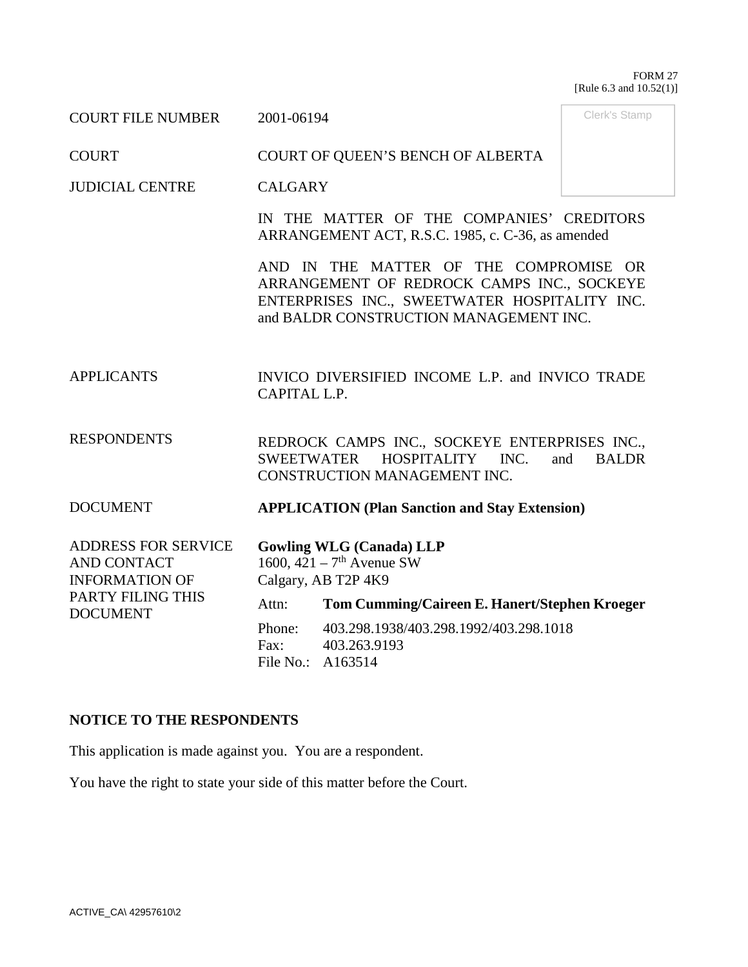#### FORM 27 [Rule 6.3 and 10.52(1)]

Clerk's Stamp

COURT FILE NUMBER 2001-06194

COURT COURT OF QUEEN'S BENCH OF ALBERTA

JUDICIAL CENTRE CALGARY

> IN THE MATTER OF THE COMPANIES' CREDITORS ARRANGEMENT ACT, R.S.C. 1985, c. C-36, as amended

> AND IN THE MATTER OF THE COMPROMISE OR ARRANGEMENT OF REDROCK CAMPS INC., SOCKEYE ENTERPRISES INC., SWEETWATER HOSPITALITY INC. and BALDR CONSTRUCTION MANAGEMENT INC.

APPLICANTS INVICO DIVERSIFIED INCOME L.P. and INVICO TRADE CAPITAL L.P.

RESPONDENTS REDROCK CAMPS INC., SOCKEYE ENTERPRISES INC., SWEETWATER HOSPITALITY INC. and BALDR CONSTRUCTION MANAGEMENT INC.

DOCUMENT **APPLICATION (Plan Sanction and Stay Extension)** 

| <b>ADDRESS FOR SERVICE</b>           |                                         | <b>Gowling WLG (Canada) LLP</b>               |  |
|--------------------------------------|-----------------------------------------|-----------------------------------------------|--|
| AND CONTACT                          | 1600, $421 - 7$ <sup>th</sup> Avenue SW |                                               |  |
| <b>INFORMATION OF</b>                | Calgary, AB T2P 4K9                     |                                               |  |
| PARTY FILING THIS<br><b>DOCUMENT</b> | Attn:                                   | Tom Cumming/Caireen E. Hanert/Stephen Kroeger |  |
|                                      | Phone:                                  | 403.298.1938/403.298.1992/403.298.1018        |  |
|                                      | Fax:<br>File No.: A163514               | 403.263.9193                                  |  |

### **NOTICE TO THE RESPONDENTS**

This application is made against you. You are a respondent.

You have the right to state your side of this matter before the Court.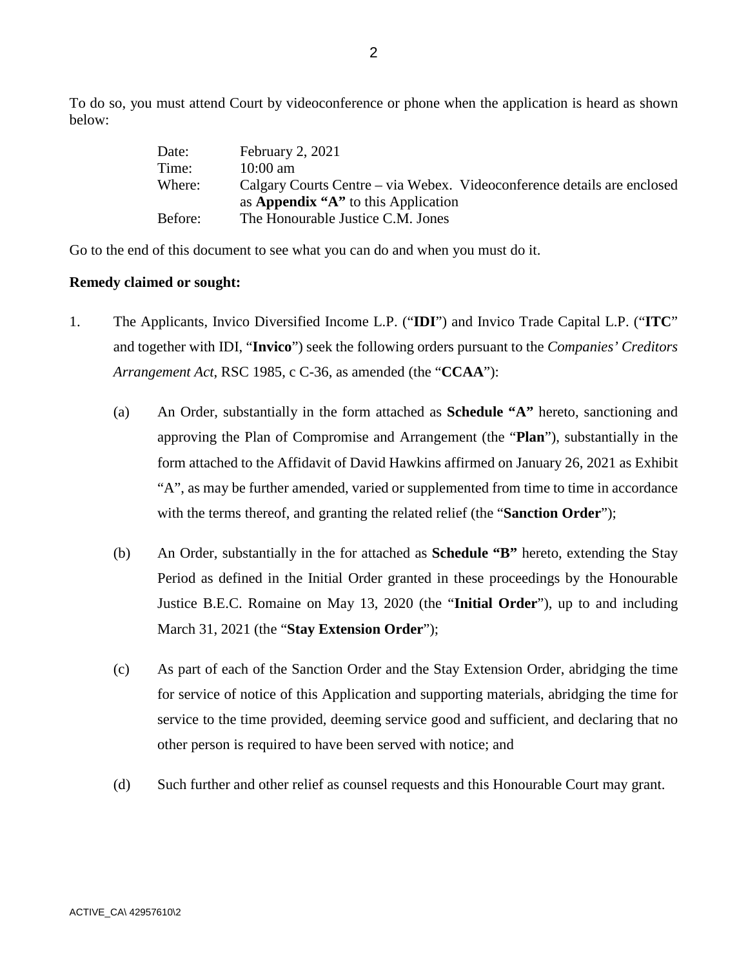To do so, you must attend Court by videoconference or phone when the application is heard as shown below:

| Date:   | February 2, 2021                                                        |
|---------|-------------------------------------------------------------------------|
| Time:   | $10:00 \text{ am}$                                                      |
| Where:  | Calgary Courts Centre – via Webex. Videoconference details are enclosed |
|         | as <b>Appendix "A"</b> to this Application                              |
| Before: | The Honourable Justice C.M. Jones                                       |

Go to the end of this document to see what you can do and when you must do it.

#### **Remedy claimed or sought:**

- 1. The Applicants, Invico Diversified Income L.P. ("**IDI**") and Invico Trade Capital L.P. ("**ITC**" and together with IDI, "**Invico**") seek the following orders pursuant to the *Companies' Creditors Arrangement Act*, RSC 1985, c C-36, as amended (the "**CCAA**"):
	- (a) An Order, substantially in the form attached as **Schedule "A"** hereto, sanctioning and approving the Plan of Compromise and Arrangement (the "**Plan**"), substantially in the form attached to the Affidavit of David Hawkins affirmed on January 26, 2021 as Exhibit "A", as may be further amended, varied or supplemented from time to time in accordance with the terms thereof, and granting the related relief (the "**Sanction Order**");
	- (b) An Order, substantially in the for attached as **Schedule "B"** hereto, extending the Stay Period as defined in the Initial Order granted in these proceedings by the Honourable Justice B.E.C. Romaine on May 13, 2020 (the "**Initial Order**"), up to and including March 31, 2021 (the "**Stay Extension Order**");
	- (c) As part of each of the Sanction Order and the Stay Extension Order, abridging the time for service of notice of this Application and supporting materials, abridging the time for service to the time provided, deeming service good and sufficient, and declaring that no other person is required to have been served with notice; and
	- (d) Such further and other relief as counsel requests and this Honourable Court may grant.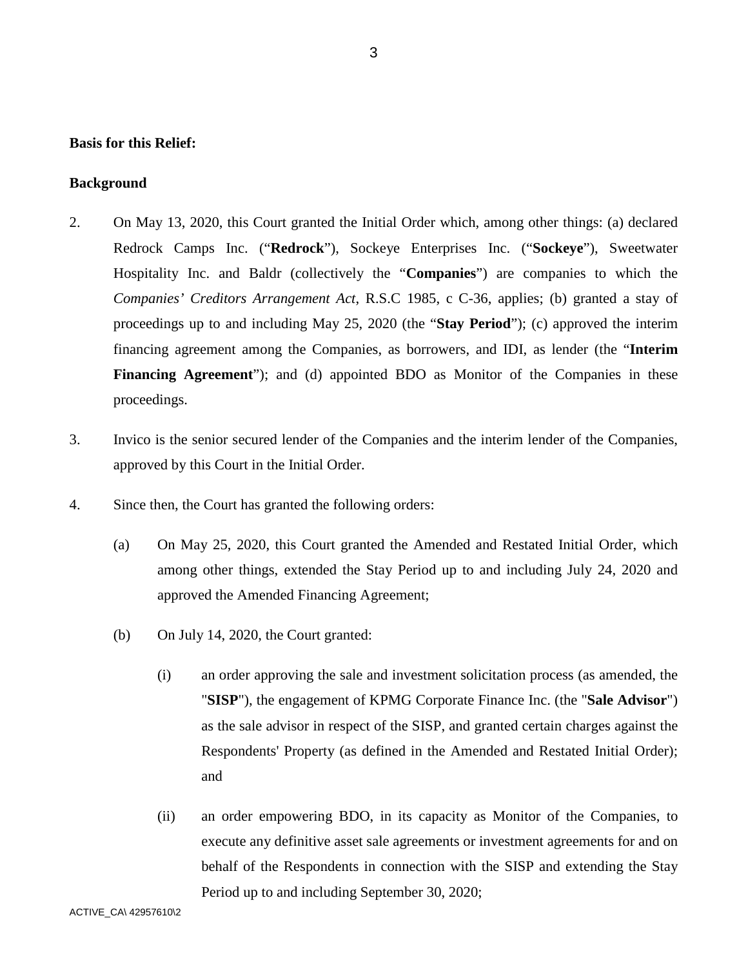### **Basis for this Relief:**

#### **Background**

- 2. On May 13, 2020, this Court granted the Initial Order which, among other things: (a) declared Redrock Camps Inc. ("**Redrock**"), Sockeye Enterprises Inc. ("**Sockeye**"), Sweetwater Hospitality Inc. and Baldr (collectively the "**Companies**") are companies to which the *Companies' Creditors Arrangement Act*, R.S.C 1985, c C-36, applies; (b) granted a stay of proceedings up to and including May 25, 2020 (the "**Stay Period**"); (c) approved the interim financing agreement among the Companies, as borrowers, and IDI, as lender (the "**Interim**  Financing Agreement"); and (d) appointed BDO as Monitor of the Companies in these proceedings.
- 3. Invico is the senior secured lender of the Companies and the interim lender of the Companies, approved by this Court in the Initial Order.
- 4. Since then, the Court has granted the following orders:
	- (a) On May 25, 2020, this Court granted the Amended and Restated Initial Order, which among other things, extended the Stay Period up to and including July 24, 2020 and approved the Amended Financing Agreement;
	- (b) On July 14, 2020, the Court granted:
		- (i) an order approving the sale and investment solicitation process (as amended, the "**SISP**"), the engagement of KPMG Corporate Finance Inc. (the "**Sale Advisor**") as the sale advisor in respect of the SISP, and granted certain charges against the Respondents' Property (as defined in the Amended and Restated Initial Order); and
		- (ii) an order empowering BDO, in its capacity as Monitor of the Companies, to execute any definitive asset sale agreements or investment agreements for and on behalf of the Respondents in connection with the SISP and extending the Stay Period up to and including September 30, 2020;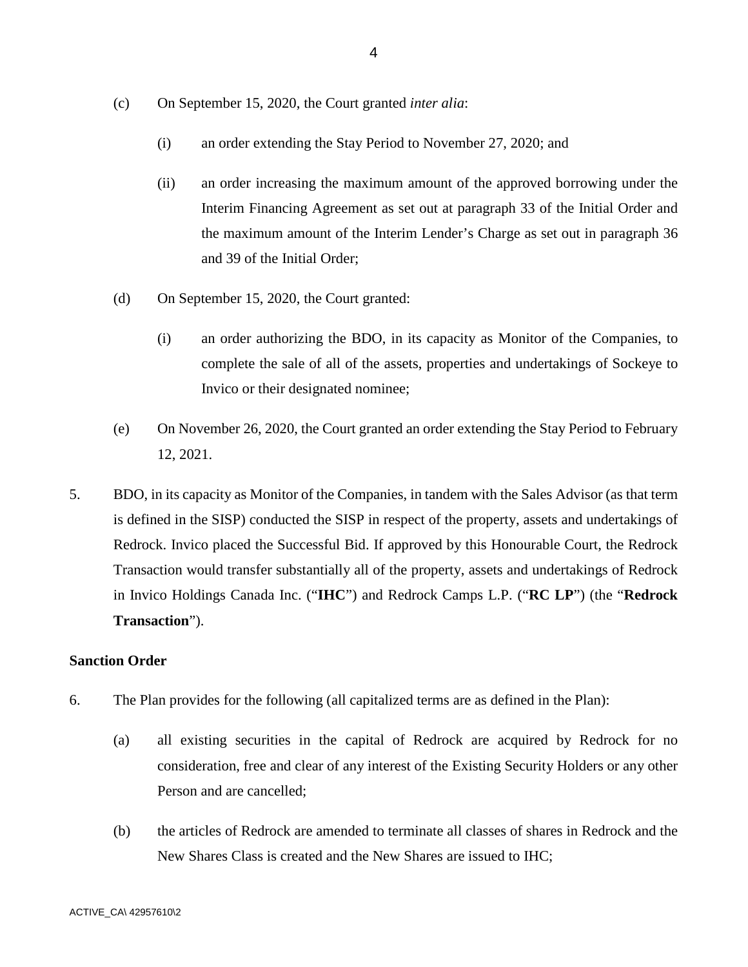- (c) On September 15, 2020, the Court granted *inter alia*:
	- (i) an order extending the Stay Period to November 27, 2020; and
	- (ii) an order increasing the maximum amount of the approved borrowing under the Interim Financing Agreement as set out at paragraph 33 of the Initial Order and the maximum amount of the Interim Lender's Charge as set out in paragraph 36 and 39 of the Initial Order;
- (d) On September 15, 2020, the Court granted:
	- (i) an order authorizing the BDO, in its capacity as Monitor of the Companies, to complete the sale of all of the assets, properties and undertakings of Sockeye to Invico or their designated nominee;
- (e) On November 26, 2020, the Court granted an order extending the Stay Period to February 12, 2021.
- 5. BDO, in its capacity as Monitor of the Companies, in tandem with the Sales Advisor (as that term is defined in the SISP) conducted the SISP in respect of the property, assets and undertakings of Redrock. Invico placed the Successful Bid. If approved by this Honourable Court, the Redrock Transaction would transfer substantially all of the property, assets and undertakings of Redrock in Invico Holdings Canada Inc. ("**IHC**") and Redrock Camps L.P. ("**RC LP**") (the "**Redrock Transaction**").

#### **Sanction Order**

- 6. The Plan provides for the following (all capitalized terms are as defined in the Plan):
	- (a) all existing securities in the capital of Redrock are acquired by Redrock for no consideration, free and clear of any interest of the Existing Security Holders or any other Person and are cancelled;
	- (b) the articles of Redrock are amended to terminate all classes of shares in Redrock and the New Shares Class is created and the New Shares are issued to IHC;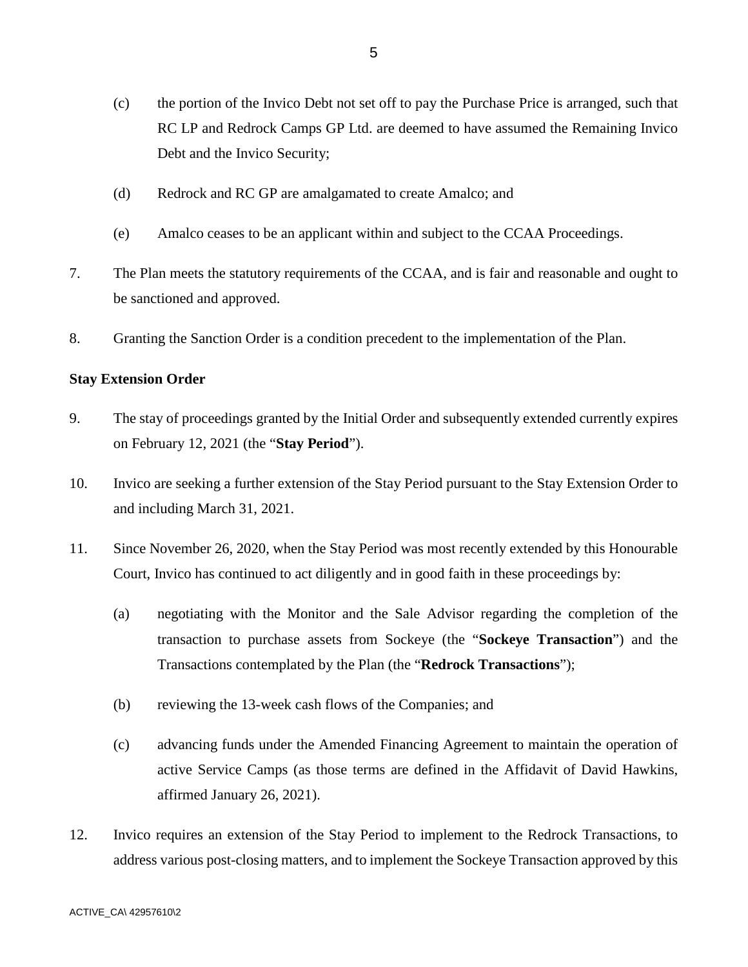- (c) the portion of the Invico Debt not set off to pay the Purchase Price is arranged, such that RC LP and Redrock Camps GP Ltd. are deemed to have assumed the Remaining Invico Debt and the Invico Security;
- (d) Redrock and RC GP are amalgamated to create Amalco; and
- (e) Amalco ceases to be an applicant within and subject to the CCAA Proceedings.
- 7. The Plan meets the statutory requirements of the CCAA, and is fair and reasonable and ought to be sanctioned and approved.
- 8. Granting the Sanction Order is a condition precedent to the implementation of the Plan.

### **Stay Extension Order**

- 9. The stay of proceedings granted by the Initial Order and subsequently extended currently expires on February 12, 2021 (the "**Stay Period**").
- 10. Invico are seeking a further extension of the Stay Period pursuant to the Stay Extension Order to and including March 31, 2021.
- 11. Since November 26, 2020, when the Stay Period was most recently extended by this Honourable Court, Invico has continued to act diligently and in good faith in these proceedings by:
	- (a) negotiating with the Monitor and the Sale Advisor regarding the completion of the transaction to purchase assets from Sockeye (the "**Sockeye Transaction**") and the Transactions contemplated by the Plan (the "**Redrock Transactions**");
	- (b) reviewing the 13-week cash flows of the Companies; and
	- (c) advancing funds under the Amended Financing Agreement to maintain the operation of active Service Camps (as those terms are defined in the Affidavit of David Hawkins, affirmed January 26, 2021).
- 12. Invico requires an extension of the Stay Period to implement to the Redrock Transactions, to address various post-closing matters, and to implement the Sockeye Transaction approved by this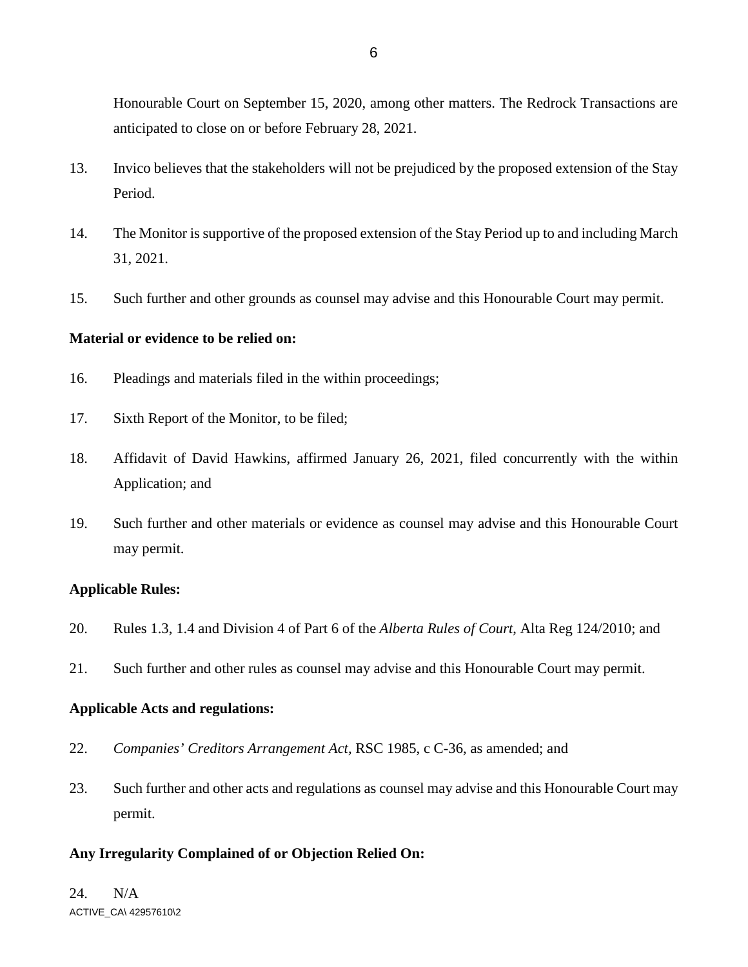Honourable Court on September 15, 2020, among other matters. The Redrock Transactions are anticipated to close on or before February 28, 2021.

- 13. Invico believes that the stakeholders will not be prejudiced by the proposed extension of the Stay Period.
- 14. The Monitor is supportive of the proposed extension of the Stay Period up to and including March 31, 2021.
- 15. Such further and other grounds as counsel may advise and this Honourable Court may permit.

# **Material or evidence to be relied on:**

- 16. Pleadings and materials filed in the within proceedings;
- 17. Sixth Report of the Monitor, to be filed;
- 18. Affidavit of David Hawkins, affirmed January 26, 2021, filed concurrently with the within Application; and
- 19. Such further and other materials or evidence as counsel may advise and this Honourable Court may permit.

# **Applicable Rules:**

- 20. Rules 1.3, 1.4 and Division 4 of Part 6 of the *Alberta Rules of Court*, Alta Reg 124/2010; and
- 21. Such further and other rules as counsel may advise and this Honourable Court may permit.

#### **Applicable Acts and regulations:**

- 22. *Companies' Creditors Arrangement Act,* RSC 1985, c C-36, as amended; and
- 23. Such further and other acts and regulations as counsel may advise and this Honourable Court may permit.

# **Any Irregularity Complained of or Objection Relied On:**

ACTIVE\_CA\ 42957610\2 24. N/A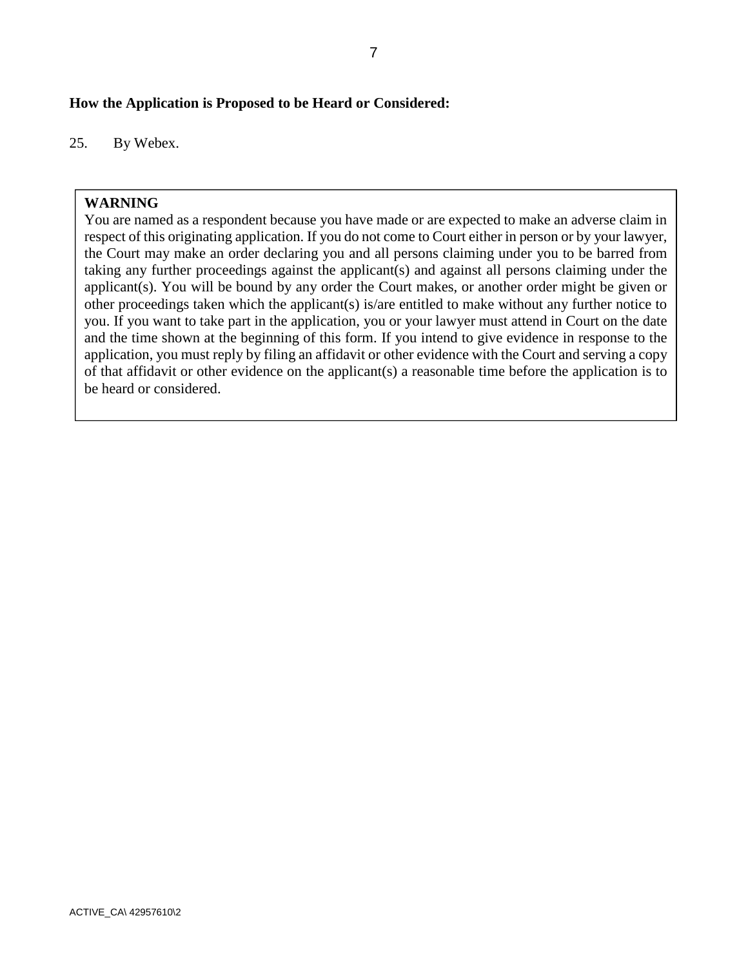# **How the Application is Proposed to be Heard or Considered:**

25. By Webex.

# **WARNING**

You are named as a respondent because you have made or are expected to make an adverse claim in respect of this originating application. If you do not come to Court either in person or by your lawyer, the Court may make an order declaring you and all persons claiming under you to be barred from taking any further proceedings against the applicant(s) and against all persons claiming under the applicant(s). You will be bound by any order the Court makes, or another order might be given or other proceedings taken which the applicant(s) is/are entitled to make without any further notice to you. If you want to take part in the application, you or your lawyer must attend in Court on the date and the time shown at the beginning of this form. If you intend to give evidence in response to the application, you must reply by filing an affidavit or other evidence with the Court and serving a copy of that affidavit or other evidence on the applicant(s) a reasonable time before the application is to be heard or considered.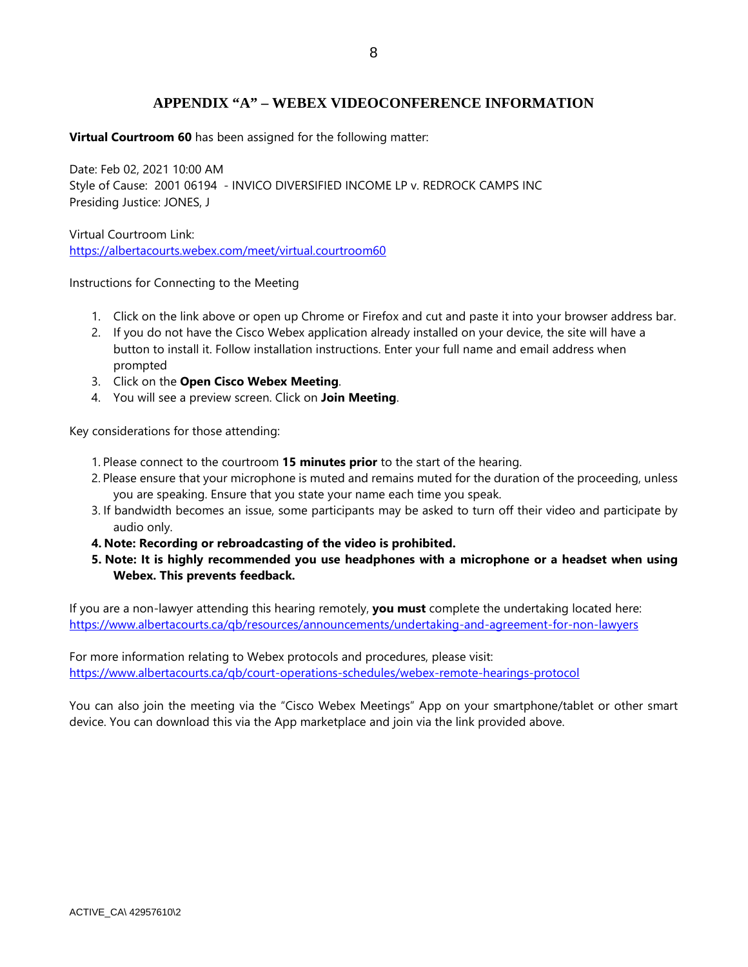# **APPENDIX "A" – WEBEX VIDEOCONFERENCE INFORMATION**

**Virtual Courtroom 60** has been assigned for the following matter:

Date: Feb 02, 2021 10:00 AM Style of Cause: 2001 06194 - INVICO DIVERSIFIED INCOME LP v. REDROCK CAMPS INC Presiding Justice: JONES, J

Virtual Courtroom Link: https://albertacourts.webex.com/meet/virtual.courtroom60

Instructions for Connecting to the Meeting

- 1. Click on the link above or open up Chrome or Firefox and cut and paste it into your browser address bar.
- 2. If you do not have the Cisco Webex application already installed on your device, the site will have a button to install it. Follow installation instructions. Enter your full name and email address when prompted
- 3. Click on the **Open Cisco Webex Meeting**.
- 4. You will see a preview screen. Click on **Join Meeting**.

Key considerations for those attending:

- 1. Please connect to the courtroom **15 minutes prior** to the start of the hearing.
- 2. Please ensure that your microphone is muted and remains muted for the duration of the proceeding, unless you are speaking. Ensure that you state your name each time you speak.
- 3. If bandwidth becomes an issue, some participants may be asked to turn off their video and participate by audio only.
- **4. Note: Recording or rebroadcasting of the video is prohibited.**
- **5. Note: It is highly recommended you use headphones with a microphone or a headset when using Webex. This prevents feedback.**

If you are a non-lawyer attending this hearing remotely, **you must** complete the undertaking located here: https://www.albertacourts.ca/qb/resources/announcements/undertaking-and-agreement-for-non-lawyers

For more information relating to Webex protocols and procedures, please visit: https://www.albertacourts.ca/qb/court-operations-schedules/webex-remote-hearings-protocol

You can also join the meeting via the "Cisco Webex Meetings" App on your smartphone/tablet or other smart device. You can download this via the App marketplace and join via the link provided above.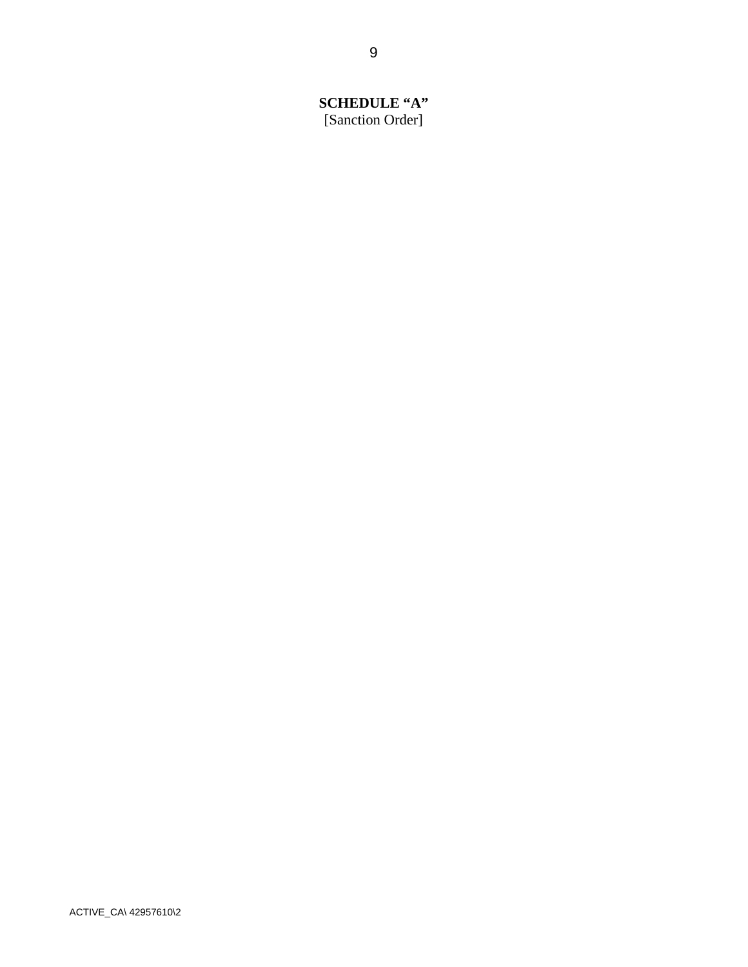# **SCHEDULE "A"**  [Sanction Order]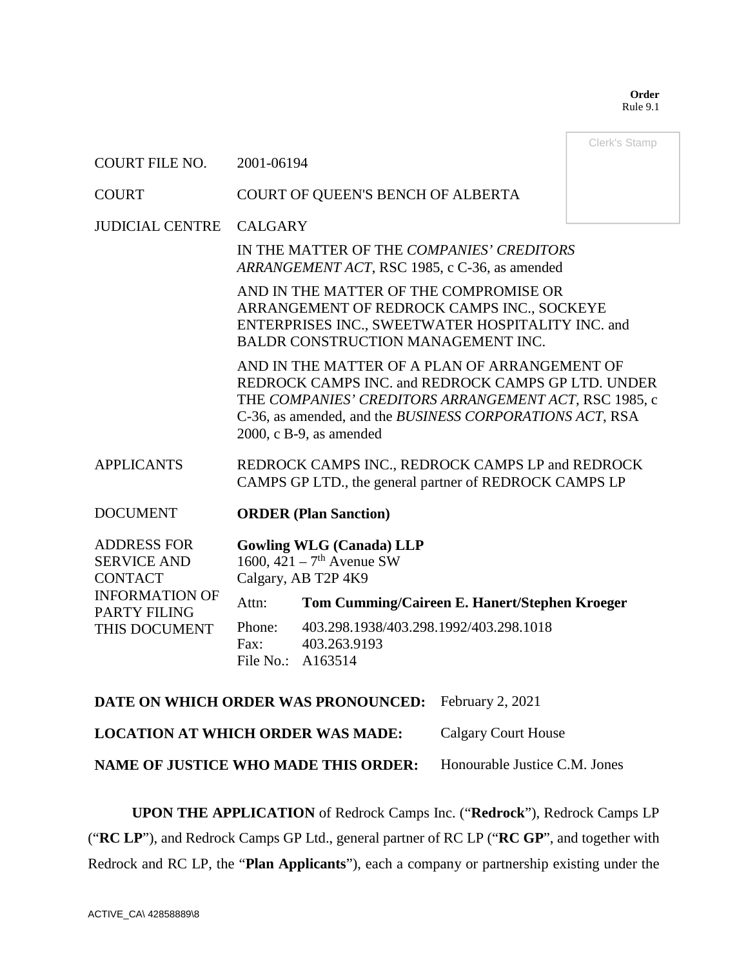**Order**  Rule 9.1

|                                                                                                                             |                                                                                                                                                                                                                                                        |                                                                                                   | Clerk's Stamp |
|-----------------------------------------------------------------------------------------------------------------------------|--------------------------------------------------------------------------------------------------------------------------------------------------------------------------------------------------------------------------------------------------------|---------------------------------------------------------------------------------------------------|---------------|
| <b>COURT FILE NO.</b>                                                                                                       | 2001-06194                                                                                                                                                                                                                                             |                                                                                                   |               |
| <b>COURT</b>                                                                                                                | COURT OF QUEEN'S BENCH OF ALBERTA                                                                                                                                                                                                                      |                                                                                                   |               |
| <b>JUDICIAL CENTRE</b>                                                                                                      | <b>CALGARY</b>                                                                                                                                                                                                                                         |                                                                                                   |               |
|                                                                                                                             | IN THE MATTER OF THE COMPANIES' CREDITORS<br>ARRANGEMENT ACT, RSC 1985, c C-36, as amended                                                                                                                                                             |                                                                                                   |               |
|                                                                                                                             | AND IN THE MATTER OF THE COMPROMISE OR<br>ARRANGEMENT OF REDROCK CAMPS INC., SOCKEYE<br>ENTERPRISES INC., SWEETWATER HOSPITALITY INC. and<br>BALDR CONSTRUCTION MANAGEMENT INC.                                                                        |                                                                                                   |               |
|                                                                                                                             | AND IN THE MATTER OF A PLAN OF ARRANGEMENT OF<br>REDROCK CAMPS INC. and REDROCK CAMPS GP LTD. UNDER<br>THE COMPANIES' CREDITORS ARRANGEMENT ACT, RSC 1985, c<br>C-36, as amended, and the BUSINESS CORPORATIONS ACT, RSA<br>$2000$ , c B-9, as amended |                                                                                                   |               |
| <b>APPLICANTS</b>                                                                                                           | REDROCK CAMPS INC., REDROCK CAMPS LP and REDROCK<br>CAMPS GP LTD., the general partner of REDROCK CAMPS LP                                                                                                                                             |                                                                                                   |               |
| <b>DOCUMENT</b>                                                                                                             |                                                                                                                                                                                                                                                        | <b>ORDER (Plan Sanction)</b>                                                                      |               |
| <b>ADDRESS FOR</b><br><b>SERVICE AND</b><br><b>CONTACT</b><br><b>INFORMATION OF</b><br><b>PARTY FILING</b><br>THIS DOCUMENT |                                                                                                                                                                                                                                                        | <b>Gowling WLG (Canada) LLP</b><br>1600, $421 - 7$ <sup>th</sup> Avenue SW<br>Calgary, AB T2P 4K9 |               |
|                                                                                                                             | Attn:                                                                                                                                                                                                                                                  | Tom Cumming/Caireen E. Hanert/Stephen Kroeger                                                     |               |
|                                                                                                                             | Phone:<br>Fax:<br>File No.:                                                                                                                                                                                                                            | 403.298.1938/403.298.1992/403.298.1018<br>403.263.9193<br>A163514                                 |               |
| DATE ON WHICH ORDER WAS PRONOUNCED:                                                                                         |                                                                                                                                                                                                                                                        | February 2, 2021                                                                                  |               |

**LOCATION AT WHICH ORDER WAS MADE:** Calgary Court House

**NAME OF JUSTICE WHO MADE THIS ORDER:** Honourable Justice C.M. Jones

**UPON THE APPLICATION** of Redrock Camps Inc. ("**Redrock**"), Redrock Camps LP ("**RC LP**"), and Redrock Camps GP Ltd., general partner of RC LP ("**RC GP**", and together with Redrock and RC LP, the "**Plan Applicants**"), each a company or partnership existing under the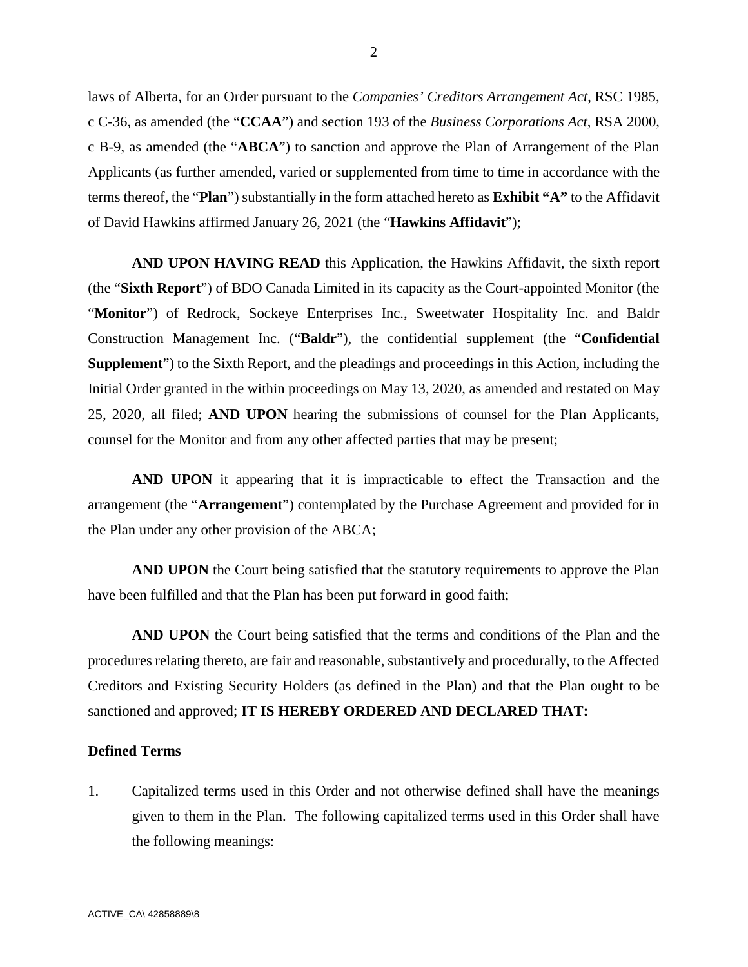laws of Alberta, for an Order pursuant to the *Companies' Creditors Arrangement Act*, RSC 1985, c C-36, as amended (the "**CCAA**") and section 193 of the *Business Corporations Act*, RSA 2000, c B-9, as amended (the "**ABCA**") to sanction and approve the Plan of Arrangement of the Plan Applicants (as further amended, varied or supplemented from time to time in accordance with the terms thereof, the "**Plan**") substantially in the form attached hereto as **Exhibit "A"** to the Affidavit of David Hawkins affirmed January 26, 2021 (the "**Hawkins Affidavit**");

**AND UPON HAVING READ** this Application, the Hawkins Affidavit, the sixth report (the "**Sixth Report**") of BDO Canada Limited in its capacity as the Court-appointed Monitor (the "**Monitor**") of Redrock, Sockeye Enterprises Inc., Sweetwater Hospitality Inc. and Baldr Construction Management Inc. ("**Baldr**"), the confidential supplement (the "**Confidential Supplement**") to the Sixth Report, and the pleadings and proceedings in this Action, including the Initial Order granted in the within proceedings on May 13, 2020, as amended and restated on May 25, 2020, all filed; **AND UPON** hearing the submissions of counsel for the Plan Applicants, counsel for the Monitor and from any other affected parties that may be present;

**AND UPON** it appearing that it is impracticable to effect the Transaction and the arrangement (the "**Arrangement**") contemplated by the Purchase Agreement and provided for in the Plan under any other provision of the ABCA;

**AND UPON** the Court being satisfied that the statutory requirements to approve the Plan have been fulfilled and that the Plan has been put forward in good faith;

**AND UPON** the Court being satisfied that the terms and conditions of the Plan and the procedures relating thereto, are fair and reasonable, substantively and procedurally, to the Affected Creditors and Existing Security Holders (as defined in the Plan) and that the Plan ought to be sanctioned and approved; **IT IS HEREBY ORDERED AND DECLARED THAT:**

#### **Defined Terms**

1. Capitalized terms used in this Order and not otherwise defined shall have the meanings given to them in the Plan. The following capitalized terms used in this Order shall have the following meanings: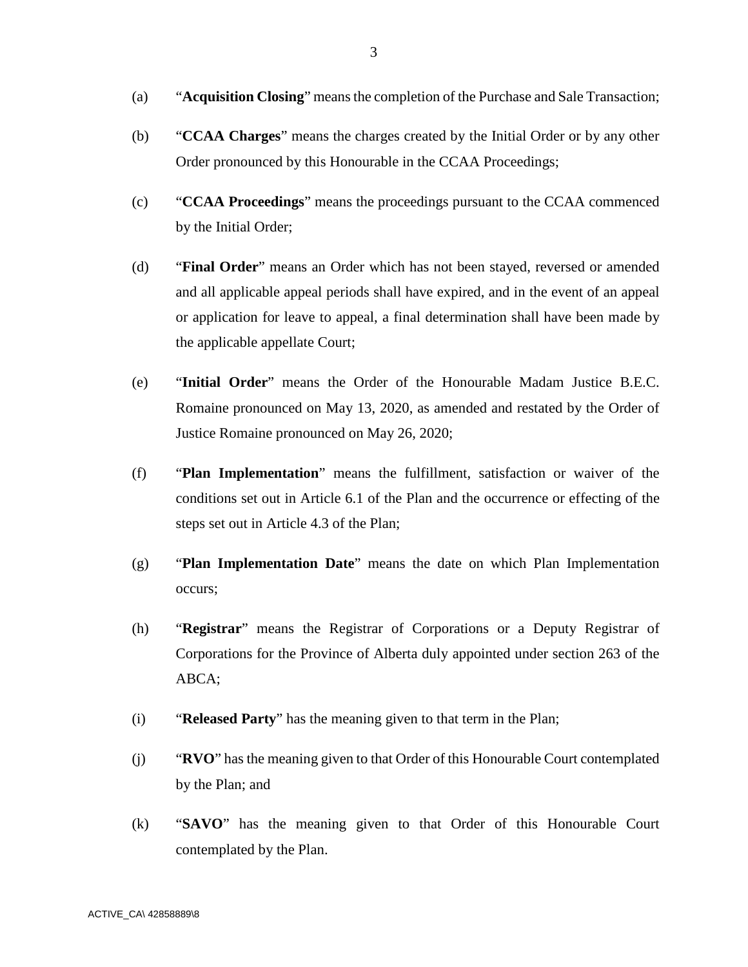- (a) "**Acquisition Closing**" means the completion of the Purchase and Sale Transaction;
- (b) "**CCAA Charges**" means the charges created by the Initial Order or by any other Order pronounced by this Honourable in the CCAA Proceedings;
- (c) "**CCAA Proceedings**" means the proceedings pursuant to the CCAA commenced by the Initial Order;
- (d) "**Final Order**" means an Order which has not been stayed, reversed or amended and all applicable appeal periods shall have expired, and in the event of an appeal or application for leave to appeal, a final determination shall have been made by the applicable appellate Court;
- (e) "**Initial Order**" means the Order of the Honourable Madam Justice B.E.C. Romaine pronounced on May 13, 2020, as amended and restated by the Order of Justice Romaine pronounced on May 26, 2020;
- (f) "**Plan Implementation**" means the fulfillment, satisfaction or waiver of the conditions set out in Article 6.1 of the Plan and the occurrence or effecting of the steps set out in Article 4.3 of the Plan;
- (g) "**Plan Implementation Date**" means the date on which Plan Implementation occurs;
- (h) "**Registrar**" means the Registrar of Corporations or a Deputy Registrar of Corporations for the Province of Alberta duly appointed under section 263 of the ABCA;
- (i) "**Released Party**" has the meaning given to that term in the Plan;
- (j) "**RVO**" has the meaning given to that Order of this Honourable Court contemplated by the Plan; and
- (k) "**SAVO**" has the meaning given to that Order of this Honourable Court contemplated by the Plan.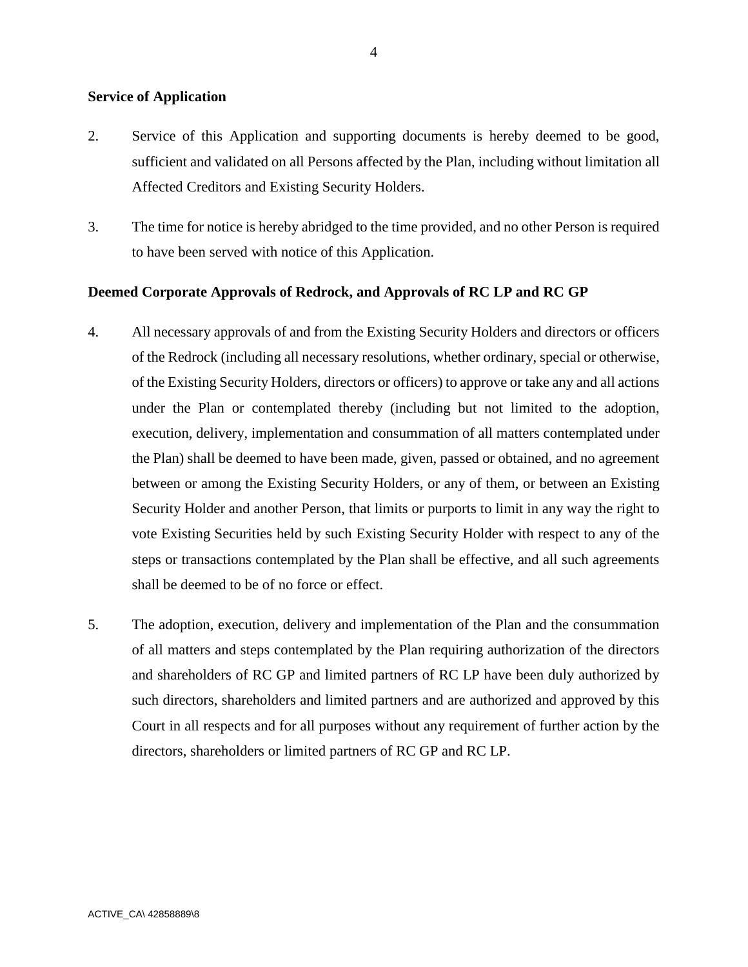### **Service of Application**

- 2. Service of this Application and supporting documents is hereby deemed to be good, sufficient and validated on all Persons affected by the Plan, including without limitation all Affected Creditors and Existing Security Holders.
- 3. The time for notice is hereby abridged to the time provided, and no other Person is required to have been served with notice of this Application.

### **Deemed Corporate Approvals of Redrock, and Approvals of RC LP and RC GP**

- 4. All necessary approvals of and from the Existing Security Holders and directors or officers of the Redrock (including all necessary resolutions, whether ordinary, special or otherwise, of the Existing Security Holders, directors or officers) to approve or take any and all actions under the Plan or contemplated thereby (including but not limited to the adoption, execution, delivery, implementation and consummation of all matters contemplated under the Plan) shall be deemed to have been made, given, passed or obtained, and no agreement between or among the Existing Security Holders, or any of them, or between an Existing Security Holder and another Person, that limits or purports to limit in any way the right to vote Existing Securities held by such Existing Security Holder with respect to any of the steps or transactions contemplated by the Plan shall be effective, and all such agreements shall be deemed to be of no force or effect.
- 5. The adoption, execution, delivery and implementation of the Plan and the consummation of all matters and steps contemplated by the Plan requiring authorization of the directors and shareholders of RC GP and limited partners of RC LP have been duly authorized by such directors, shareholders and limited partners and are authorized and approved by this Court in all respects and for all purposes without any requirement of further action by the directors, shareholders or limited partners of RC GP and RC LP.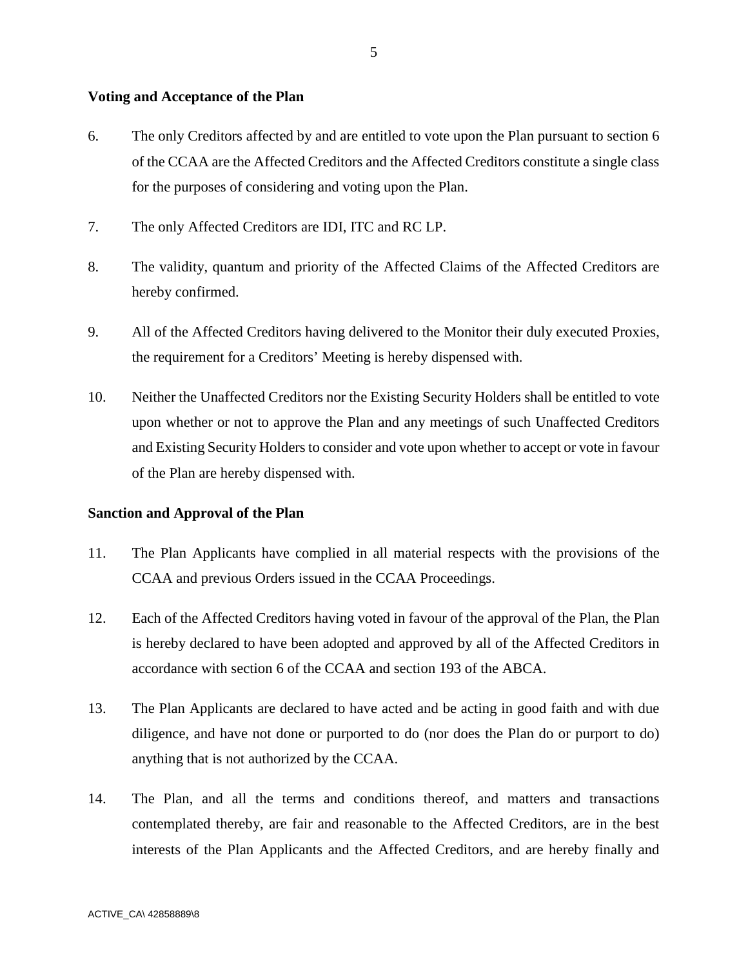#### **Voting and Acceptance of the Plan**

- 6. The only Creditors affected by and are entitled to vote upon the Plan pursuant to section 6 of the CCAA are the Affected Creditors and the Affected Creditors constitute a single class for the purposes of considering and voting upon the Plan.
- 7. The only Affected Creditors are IDI, ITC and RC LP.
- 8. The validity, quantum and priority of the Affected Claims of the Affected Creditors are hereby confirmed.
- 9. All of the Affected Creditors having delivered to the Monitor their duly executed Proxies, the requirement for a Creditors' Meeting is hereby dispensed with.
- 10. Neither the Unaffected Creditors nor the Existing Security Holders shall be entitled to vote upon whether or not to approve the Plan and any meetings of such Unaffected Creditors and Existing Security Holders to consider and vote upon whether to accept or vote in favour of the Plan are hereby dispensed with.

# **Sanction and Approval of the Plan**

- 11. The Plan Applicants have complied in all material respects with the provisions of the CCAA and previous Orders issued in the CCAA Proceedings.
- 12. Each of the Affected Creditors having voted in favour of the approval of the Plan, the Plan is hereby declared to have been adopted and approved by all of the Affected Creditors in accordance with section 6 of the CCAA and section 193 of the ABCA.
- 13. The Plan Applicants are declared to have acted and be acting in good faith and with due diligence, and have not done or purported to do (nor does the Plan do or purport to do) anything that is not authorized by the CCAA.
- 14. The Plan, and all the terms and conditions thereof, and matters and transactions contemplated thereby, are fair and reasonable to the Affected Creditors, are in the best interests of the Plan Applicants and the Affected Creditors, and are hereby finally and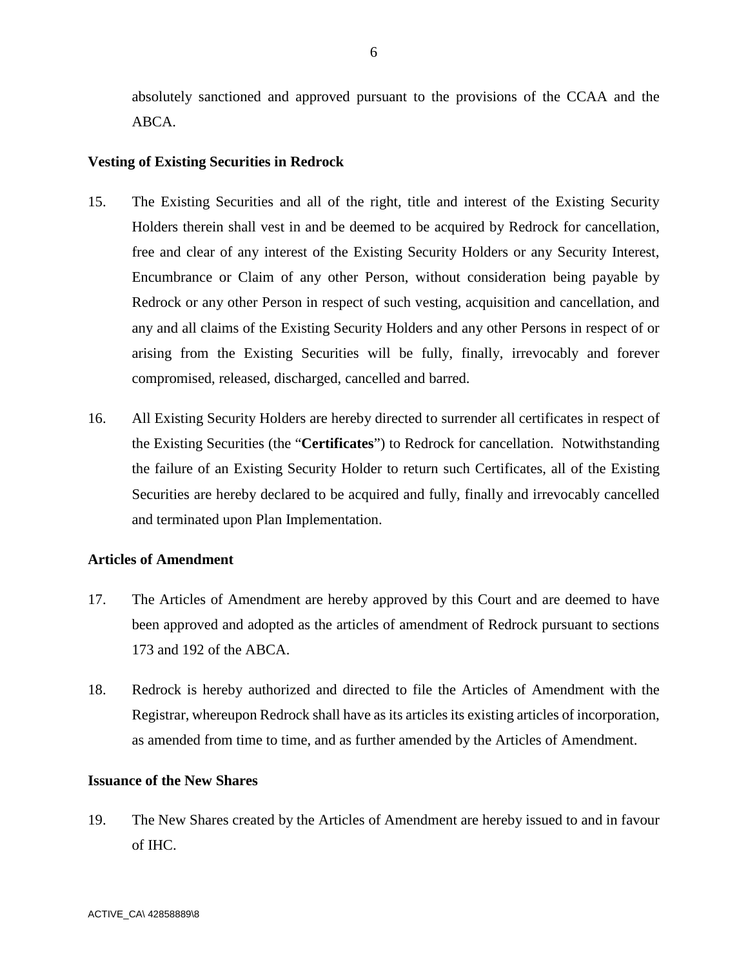absolutely sanctioned and approved pursuant to the provisions of the CCAA and the ABCA.

#### **Vesting of Existing Securities in Redrock**

- 15. The Existing Securities and all of the right, title and interest of the Existing Security Holders therein shall vest in and be deemed to be acquired by Redrock for cancellation, free and clear of any interest of the Existing Security Holders or any Security Interest, Encumbrance or Claim of any other Person, without consideration being payable by Redrock or any other Person in respect of such vesting, acquisition and cancellation, and any and all claims of the Existing Security Holders and any other Persons in respect of or arising from the Existing Securities will be fully, finally, irrevocably and forever compromised, released, discharged, cancelled and barred.
- 16. All Existing Security Holders are hereby directed to surrender all certificates in respect of the Existing Securities (the "**Certificates**") to Redrock for cancellation. Notwithstanding the failure of an Existing Security Holder to return such Certificates, all of the Existing Securities are hereby declared to be acquired and fully, finally and irrevocably cancelled and terminated upon Plan Implementation.

#### **Articles of Amendment**

- 17. The Articles of Amendment are hereby approved by this Court and are deemed to have been approved and adopted as the articles of amendment of Redrock pursuant to sections 173 and 192 of the ABCA.
- 18. Redrock is hereby authorized and directed to file the Articles of Amendment with the Registrar, whereupon Redrock shall have as its articles its existing articles of incorporation, as amended from time to time, and as further amended by the Articles of Amendment.

## **Issuance of the New Shares**

19. The New Shares created by the Articles of Amendment are hereby issued to and in favour of IHC.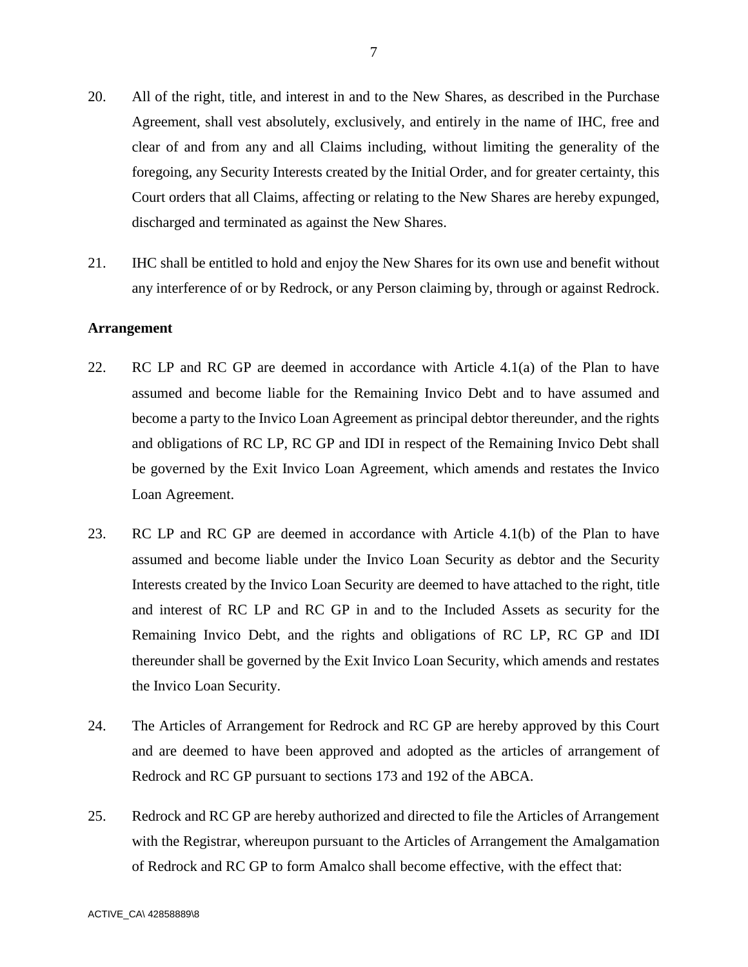- 20. All of the right, title, and interest in and to the New Shares, as described in the Purchase Agreement, shall vest absolutely, exclusively, and entirely in the name of IHC, free and clear of and from any and all Claims including, without limiting the generality of the foregoing, any Security Interests created by the Initial Order, and for greater certainty, this Court orders that all Claims, affecting or relating to the New Shares are hereby expunged, discharged and terminated as against the New Shares.
- 21. IHC shall be entitled to hold and enjoy the New Shares for its own use and benefit without any interference of or by Redrock, or any Person claiming by, through or against Redrock.

#### **Arrangement**

- 22. RC LP and RC GP are deemed in accordance with Article 4.1(a) of the Plan to have assumed and become liable for the Remaining Invico Debt and to have assumed and become a party to the Invico Loan Agreement as principal debtor thereunder, and the rights and obligations of RC LP, RC GP and IDI in respect of the Remaining Invico Debt shall be governed by the Exit Invico Loan Agreement, which amends and restates the Invico Loan Agreement.
- 23. RC LP and RC GP are deemed in accordance with Article 4.1(b) of the Plan to have assumed and become liable under the Invico Loan Security as debtor and the Security Interests created by the Invico Loan Security are deemed to have attached to the right, title and interest of RC LP and RC GP in and to the Included Assets as security for the Remaining Invico Debt, and the rights and obligations of RC LP, RC GP and IDI thereunder shall be governed by the Exit Invico Loan Security, which amends and restates the Invico Loan Security.
- 24. The Articles of Arrangement for Redrock and RC GP are hereby approved by this Court and are deemed to have been approved and adopted as the articles of arrangement of Redrock and RC GP pursuant to sections 173 and 192 of the ABCA.
- 25. Redrock and RC GP are hereby authorized and directed to file the Articles of Arrangement with the Registrar, whereupon pursuant to the Articles of Arrangement the Amalgamation of Redrock and RC GP to form Amalco shall become effective, with the effect that: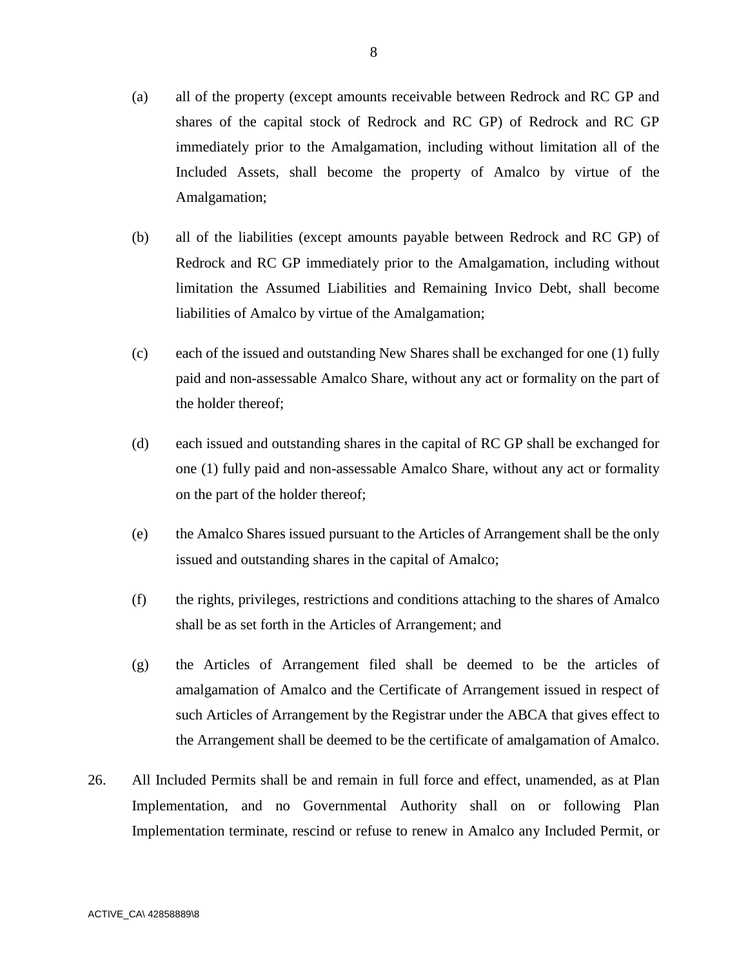- (a) all of the property (except amounts receivable between Redrock and RC GP and shares of the capital stock of Redrock and RC GP) of Redrock and RC GP immediately prior to the Amalgamation, including without limitation all of the Included Assets, shall become the property of Amalco by virtue of the Amalgamation;
- (b) all of the liabilities (except amounts payable between Redrock and RC GP) of Redrock and RC GP immediately prior to the Amalgamation, including without limitation the Assumed Liabilities and Remaining Invico Debt, shall become liabilities of Amalco by virtue of the Amalgamation;
- (c) each of the issued and outstanding New Shares shall be exchanged for one (1) fully paid and non-assessable Amalco Share, without any act or formality on the part of the holder thereof;
- (d) each issued and outstanding shares in the capital of RC GP shall be exchanged for one (1) fully paid and non-assessable Amalco Share, without any act or formality on the part of the holder thereof;
- (e) the Amalco Shares issued pursuant to the Articles of Arrangement shall be the only issued and outstanding shares in the capital of Amalco;
- (f) the rights, privileges, restrictions and conditions attaching to the shares of Amalco shall be as set forth in the Articles of Arrangement; and
- (g) the Articles of Arrangement filed shall be deemed to be the articles of amalgamation of Amalco and the Certificate of Arrangement issued in respect of such Articles of Arrangement by the Registrar under the ABCA that gives effect to the Arrangement shall be deemed to be the certificate of amalgamation of Amalco.
- 26. All Included Permits shall be and remain in full force and effect, unamended, as at Plan Implementation, and no Governmental Authority shall on or following Plan Implementation terminate, rescind or refuse to renew in Amalco any Included Permit, or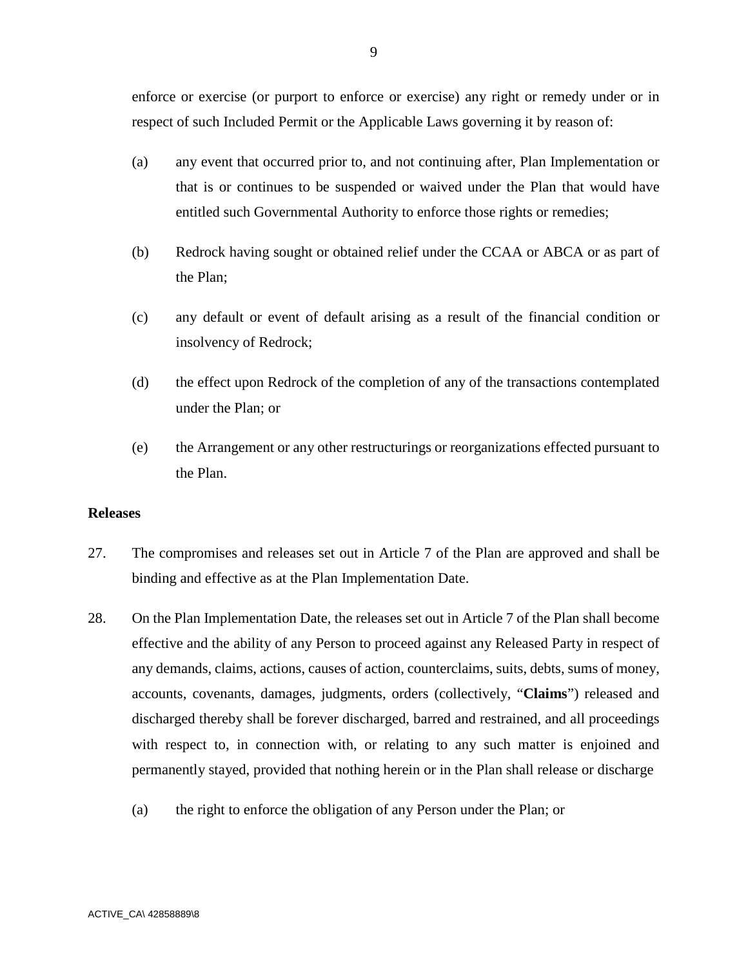enforce or exercise (or purport to enforce or exercise) any right or remedy under or in respect of such Included Permit or the Applicable Laws governing it by reason of:

- (a) any event that occurred prior to, and not continuing after, Plan Implementation or that is or continues to be suspended or waived under the Plan that would have entitled such Governmental Authority to enforce those rights or remedies;
- (b) Redrock having sought or obtained relief under the CCAA or ABCA or as part of the Plan;
- (c) any default or event of default arising as a result of the financial condition or insolvency of Redrock;
- (d) the effect upon Redrock of the completion of any of the transactions contemplated under the Plan; or
- (e) the Arrangement or any other restructurings or reorganizations effected pursuant to the Plan.

#### **Releases**

- 27. The compromises and releases set out in Article 7 of the Plan are approved and shall be binding and effective as at the Plan Implementation Date.
- 28. On the Plan Implementation Date, the releases set out in Article 7 of the Plan shall become effective and the ability of any Person to proceed against any Released Party in respect of any demands, claims, actions, causes of action, counterclaims, suits, debts, sums of money, accounts, covenants, damages, judgments, orders (collectively, "**Claims**") released and discharged thereby shall be forever discharged, barred and restrained, and all proceedings with respect to, in connection with, or relating to any such matter is enjoined and permanently stayed, provided that nothing herein or in the Plan shall release or discharge
	- (a) the right to enforce the obligation of any Person under the Plan; or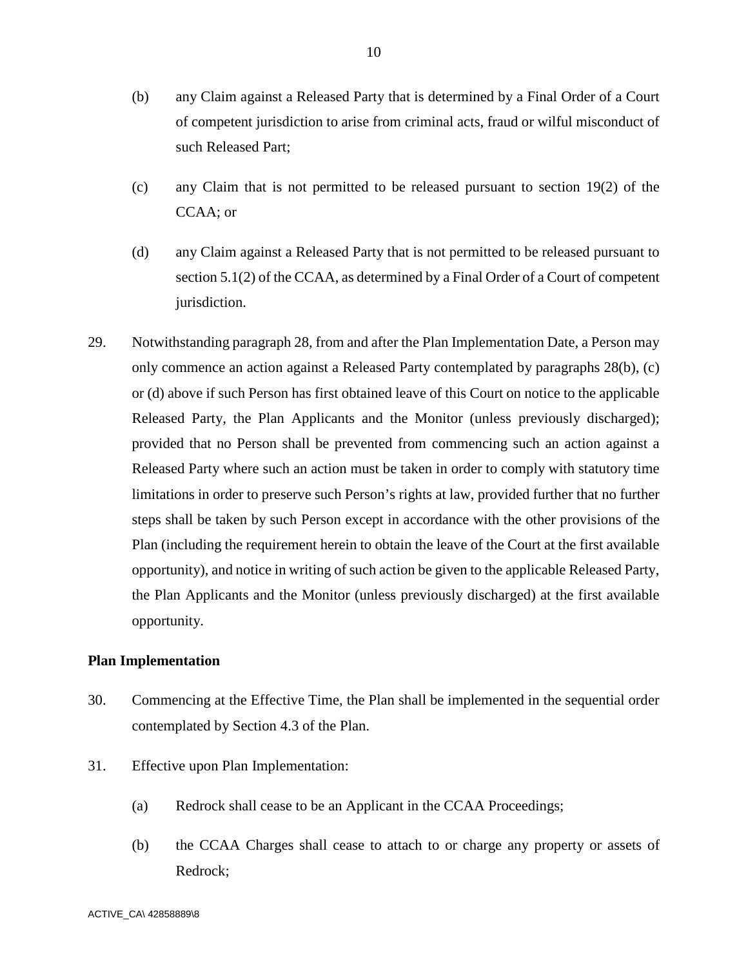- (b) any Claim against a Released Party that is determined by a Final Order of a Court of competent jurisdiction to arise from criminal acts, fraud or wilful misconduct of such Released Part;
- (c) any Claim that is not permitted to be released pursuant to section 19(2) of the CCAA; or
- (d) any Claim against a Released Party that is not permitted to be released pursuant to section 5.1(2) of the CCAA, as determined by a Final Order of a Court of competent jurisdiction.
- 29. Notwithstanding paragraph 28, from and after the Plan Implementation Date, a Person may only commence an action against a Released Party contemplated by paragraphs 28(b), (c) or (d) above if such Person has first obtained leave of this Court on notice to the applicable Released Party, the Plan Applicants and the Monitor (unless previously discharged); provided that no Person shall be prevented from commencing such an action against a Released Party where such an action must be taken in order to comply with statutory time limitations in order to preserve such Person's rights at law, provided further that no further steps shall be taken by such Person except in accordance with the other provisions of the Plan (including the requirement herein to obtain the leave of the Court at the first available opportunity), and notice in writing of such action be given to the applicable Released Party, the Plan Applicants and the Monitor (unless previously discharged) at the first available opportunity.

#### **Plan Implementation**

- 30. Commencing at the Effective Time, the Plan shall be implemented in the sequential order contemplated by Section 4.3 of the Plan.
- 31. Effective upon Plan Implementation:
	- (a) Redrock shall cease to be an Applicant in the CCAA Proceedings;
	- (b) the CCAA Charges shall cease to attach to or charge any property or assets of Redrock;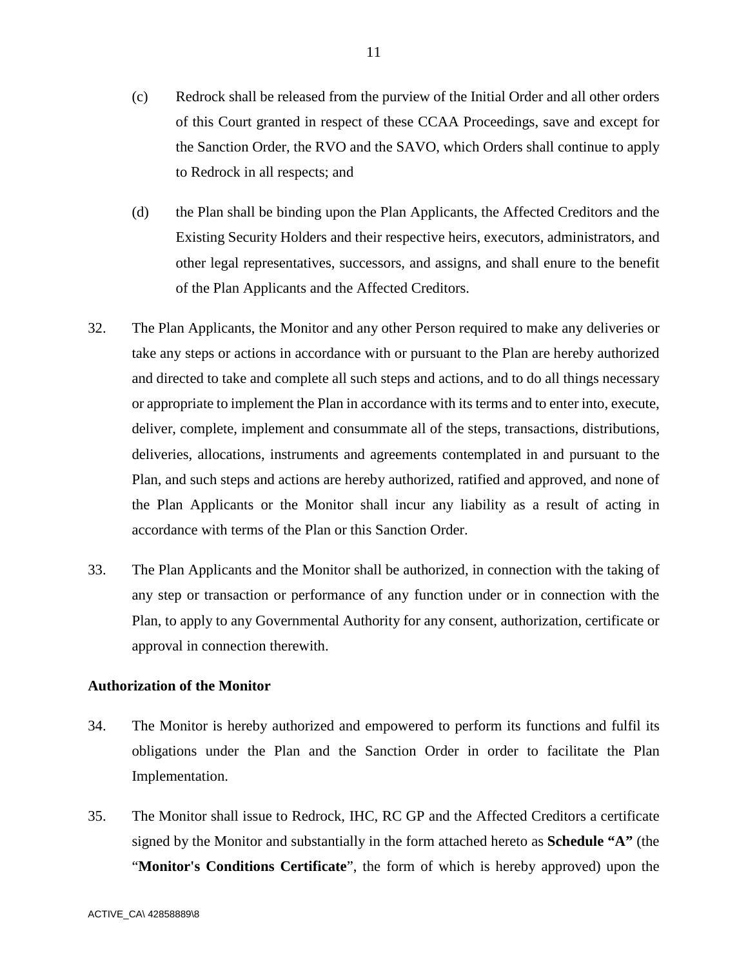- (c) Redrock shall be released from the purview of the Initial Order and all other orders of this Court granted in respect of these CCAA Proceedings, save and except for the Sanction Order, the RVO and the SAVO, which Orders shall continue to apply to Redrock in all respects; and
- (d) the Plan shall be binding upon the Plan Applicants, the Affected Creditors and the Existing Security Holders and their respective heirs, executors, administrators, and other legal representatives, successors, and assigns, and shall enure to the benefit of the Plan Applicants and the Affected Creditors.
- 32. The Plan Applicants, the Monitor and any other Person required to make any deliveries or take any steps or actions in accordance with or pursuant to the Plan are hereby authorized and directed to take and complete all such steps and actions, and to do all things necessary or appropriate to implement the Plan in accordance with its terms and to enter into, execute, deliver, complete, implement and consummate all of the steps, transactions, distributions, deliveries, allocations, instruments and agreements contemplated in and pursuant to the Plan, and such steps and actions are hereby authorized, ratified and approved, and none of the Plan Applicants or the Monitor shall incur any liability as a result of acting in accordance with terms of the Plan or this Sanction Order.
- 33. The Plan Applicants and the Monitor shall be authorized, in connection with the taking of any step or transaction or performance of any function under or in connection with the Plan, to apply to any Governmental Authority for any consent, authorization, certificate or approval in connection therewith.

# **Authorization of the Monitor**

- 34. The Monitor is hereby authorized and empowered to perform its functions and fulfil its obligations under the Plan and the Sanction Order in order to facilitate the Plan Implementation.
- 35. The Monitor shall issue to Redrock, IHC, RC GP and the Affected Creditors a certificate signed by the Monitor and substantially in the form attached hereto as **Schedule "A"** (the "**Monitor's Conditions Certificate**", the form of which is hereby approved) upon the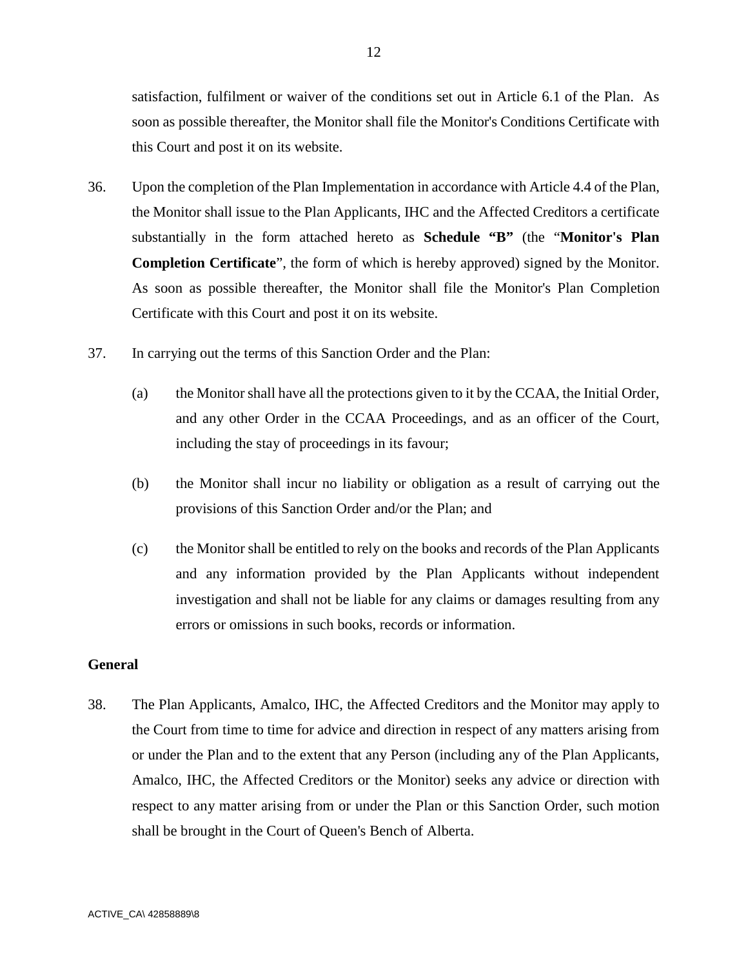satisfaction, fulfilment or waiver of the conditions set out in Article 6.1 of the Plan. As soon as possible thereafter, the Monitor shall file the Monitor's Conditions Certificate with this Court and post it on its website.

- 36. Upon the completion of the Plan Implementation in accordance with Article 4.4 of the Plan, the Monitor shall issue to the Plan Applicants, IHC and the Affected Creditors a certificate substantially in the form attached hereto as **Schedule "B"** (the "**Monitor's Plan Completion Certificate**", the form of which is hereby approved) signed by the Monitor. As soon as possible thereafter, the Monitor shall file the Monitor's Plan Completion Certificate with this Court and post it on its website.
- 37. In carrying out the terms of this Sanction Order and the Plan:
	- (a) the Monitor shall have all the protections given to it by the CCAA, the Initial Order, and any other Order in the CCAA Proceedings, and as an officer of the Court, including the stay of proceedings in its favour;
	- (b) the Monitor shall incur no liability or obligation as a result of carrying out the provisions of this Sanction Order and/or the Plan; and
	- (c) the Monitor shall be entitled to rely on the books and records of the Plan Applicants and any information provided by the Plan Applicants without independent investigation and shall not be liable for any claims or damages resulting from any errors or omissions in such books, records or information.

## **General**

38. The Plan Applicants, Amalco, IHC, the Affected Creditors and the Monitor may apply to the Court from time to time for advice and direction in respect of any matters arising from or under the Plan and to the extent that any Person (including any of the Plan Applicants, Amalco, IHC, the Affected Creditors or the Monitor) seeks any advice or direction with respect to any matter arising from or under the Plan or this Sanction Order, such motion shall be brought in the Court of Queen's Bench of Alberta.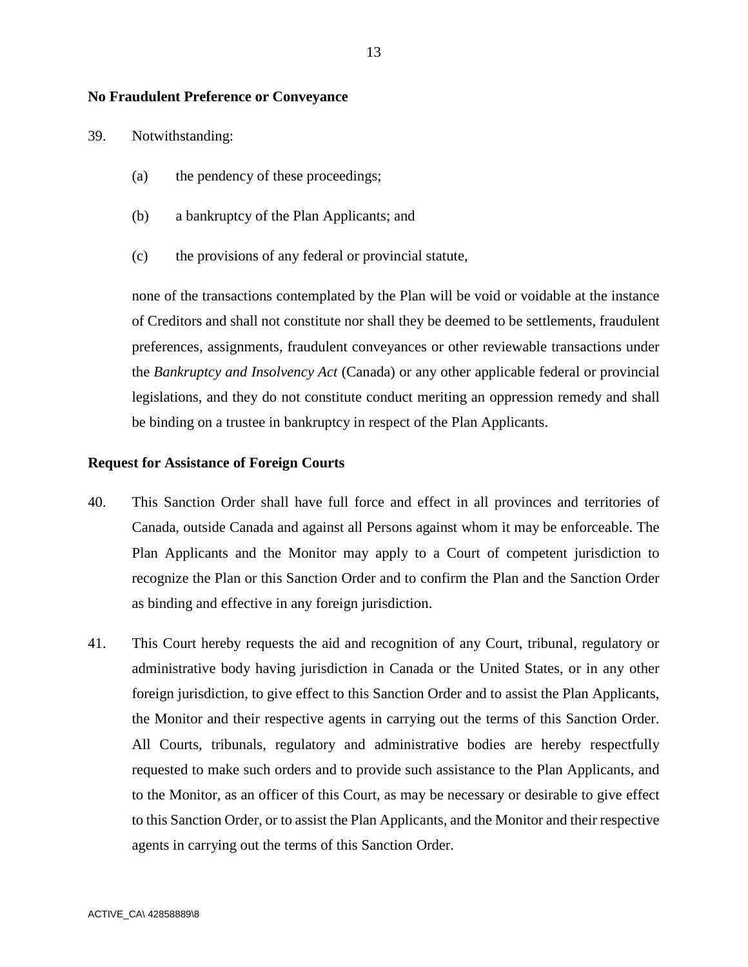## **No Fraudulent Preference or Conveyance**

- 39. Notwithstanding:
	- (a) the pendency of these proceedings;
	- (b) a bankruptcy of the Plan Applicants; and
	- (c) the provisions of any federal or provincial statute,

none of the transactions contemplated by the Plan will be void or voidable at the instance of Creditors and shall not constitute nor shall they be deemed to be settlements, fraudulent preferences, assignments, fraudulent conveyances or other reviewable transactions under the *Bankruptcy and Insolvency Act* (Canada) or any other applicable federal or provincial legislations, and they do not constitute conduct meriting an oppression remedy and shall be binding on a trustee in bankruptcy in respect of the Plan Applicants.

#### **Request for Assistance of Foreign Courts**

- 40. This Sanction Order shall have full force and effect in all provinces and territories of Canada, outside Canada and against all Persons against whom it may be enforceable. The Plan Applicants and the Monitor may apply to a Court of competent jurisdiction to recognize the Plan or this Sanction Order and to confirm the Plan and the Sanction Order as binding and effective in any foreign jurisdiction.
- 41. This Court hereby requests the aid and recognition of any Court, tribunal, regulatory or administrative body having jurisdiction in Canada or the United States, or in any other foreign jurisdiction, to give effect to this Sanction Order and to assist the Plan Applicants, the Monitor and their respective agents in carrying out the terms of this Sanction Order. All Courts, tribunals, regulatory and administrative bodies are hereby respectfully requested to make such orders and to provide such assistance to the Plan Applicants, and to the Monitor, as an officer of this Court, as may be necessary or desirable to give effect to this Sanction Order, or to assist the Plan Applicants, and the Monitor and their respective agents in carrying out the terms of this Sanction Order.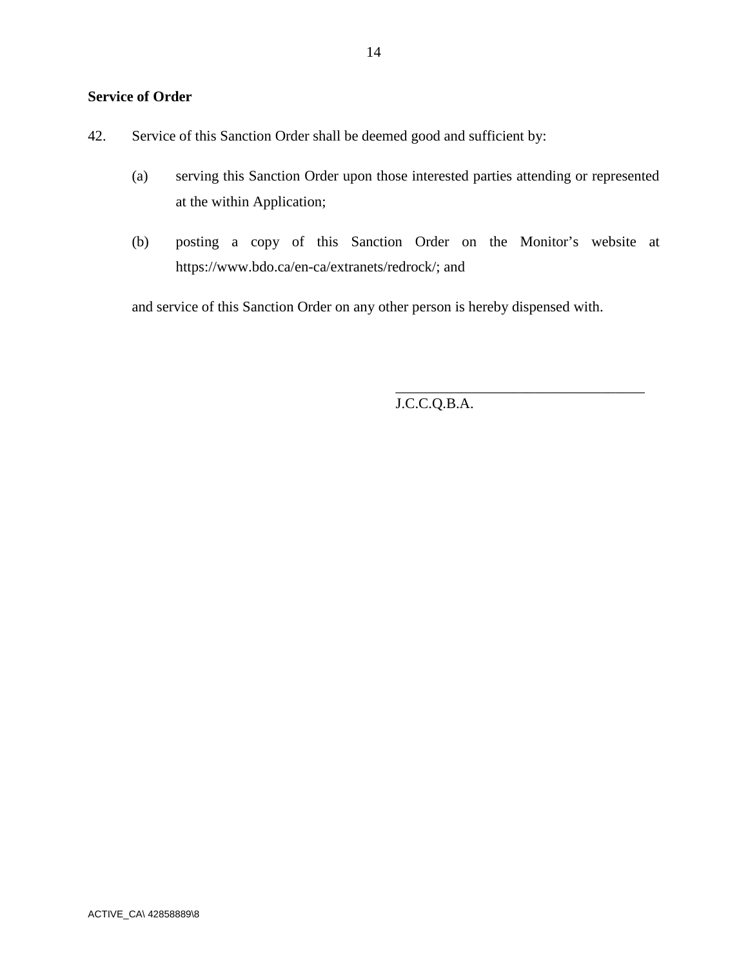# **Service of Order**

| 42. |  |  | Service of this Sanction Order shall be deemed good and sufficient by: |
|-----|--|--|------------------------------------------------------------------------|
|     |  |  |                                                                        |

- (a) serving this Sanction Order upon those interested parties attending or represented at the within Application;
- (b) posting a copy of this Sanction Order on the Monitor's website at https://www.bdo.ca/en-ca/extranets/redrock/; and

and service of this Sanction Order on any other person is hereby dispensed with.

J.C.C.Q.B.A.

\_\_\_\_\_\_\_\_\_\_\_\_\_\_\_\_\_\_\_\_\_\_\_\_\_\_\_\_\_\_\_\_\_\_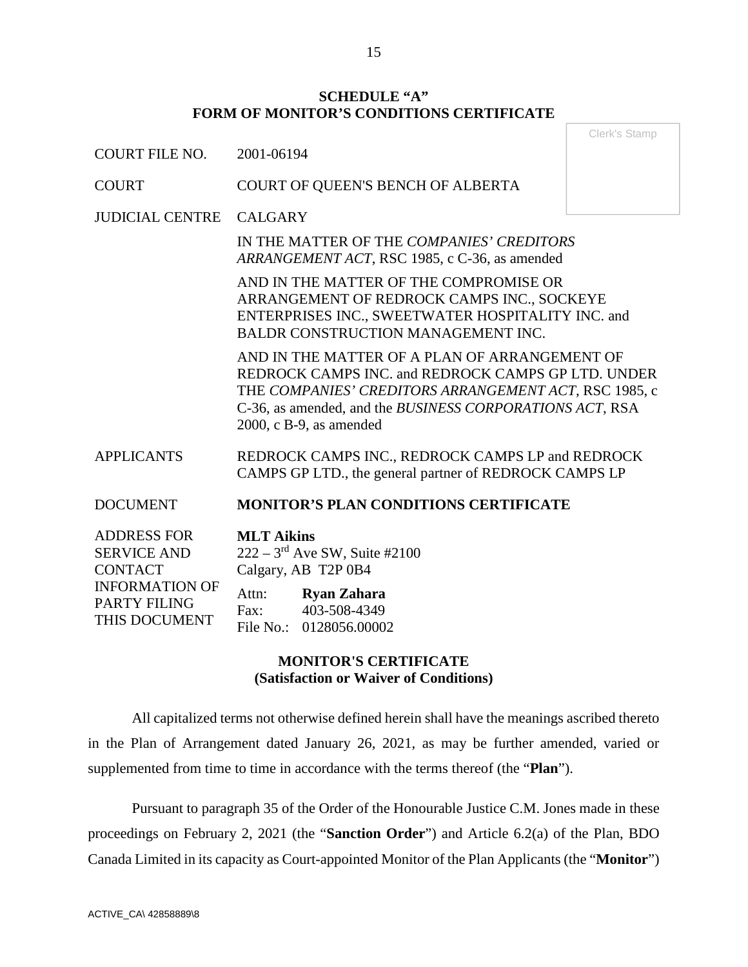## **SCHEDULE "A" FORM OF MONITOR'S CONDITIONS CERTIFICATE**

Clerk's Stamp

| <b>COURT FILE NO.</b>                                                               | 2001-06194                                                                                                                                                                                                                                             |  |
|-------------------------------------------------------------------------------------|--------------------------------------------------------------------------------------------------------------------------------------------------------------------------------------------------------------------------------------------------------|--|
| <b>COURT</b>                                                                        | COURT OF QUEEN'S BENCH OF ALBERTA                                                                                                                                                                                                                      |  |
| <b>JUDICIAL CENTRE</b>                                                              | <b>CALGARY</b>                                                                                                                                                                                                                                         |  |
|                                                                                     | IN THE MATTER OF THE COMPANIES' CREDITORS<br>ARRANGEMENT ACT, RSC 1985, c C-36, as amended                                                                                                                                                             |  |
|                                                                                     | AND IN THE MATTER OF THE COMPROMISE OR<br>ARRANGEMENT OF REDROCK CAMPS INC., SOCKEYE<br>ENTERPRISES INC., SWEETWATER HOSPITALITY INC. and<br>BALDR CONSTRUCTION MANAGEMENT INC.                                                                        |  |
|                                                                                     | AND IN THE MATTER OF A PLAN OF ARRANGEMENT OF<br>REDROCK CAMPS INC. and REDROCK CAMPS GP LTD. UNDER<br>THE COMPANIES' CREDITORS ARRANGEMENT ACT, RSC 1985, c<br>C-36, as amended, and the BUSINESS CORPORATIONS ACT, RSA<br>$2000$ , c B-9, as amended |  |
| <b>APPLICANTS</b>                                                                   | REDROCK CAMPS INC., REDROCK CAMPS LP and REDROCK<br>CAMPS GP LTD., the general partner of REDROCK CAMPS LP                                                                                                                                             |  |
| <b>DOCUMENT</b>                                                                     | <b>MONITOR'S PLAN CONDITIONS CERTIFICATE</b>                                                                                                                                                                                                           |  |
| <b>ADDRESS FOR</b><br><b>SERVICE AND</b><br><b>CONTACT</b><br><b>INFORMATION OF</b> | <b>MLT Aikins</b><br>$222 - 3^{rd}$ Ave SW, Suite #2100<br>Calgary, AB T2P 0B4                                                                                                                                                                         |  |
| PARTY FILING                                                                        | <b>Ryan Zahara</b><br>Attn:<br>102.500.1210<br><b>D</b>                                                                                                                                                                                                |  |

# **MONITOR'S CERTIFICATE (Satisfaction or Waiver of Conditions)**

Fax: 403-508-4349 File No.: 0128056.00002

All capitalized terms not otherwise defined herein shall have the meanings ascribed thereto in the Plan of Arrangement dated January 26, 2021, as may be further amended, varied or supplemented from time to time in accordance with the terms thereof (the "**Plan**").

Pursuant to paragraph 35 of the Order of the Honourable Justice C.M. Jones made in these proceedings on February 2, 2021 (the "**Sanction Order**") and Article 6.2(a) of the Plan, BDO Canada Limited in its capacity as Court-appointed Monitor of the Plan Applicants (the "**Monitor**")

THIS DOCUMENT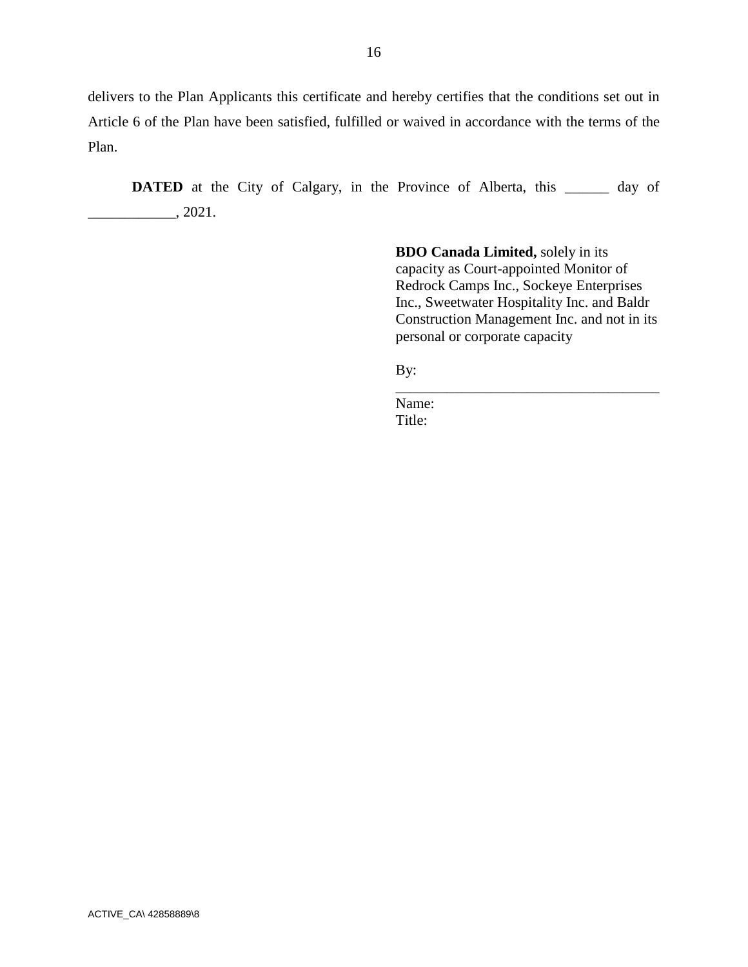delivers to the Plan Applicants this certificate and hereby certifies that the conditions set out in Article 6 of the Plan have been satisfied, fulfilled or waived in accordance with the terms of the Plan.

**DATED** at the City of Calgary, in the Province of Alberta, this \_\_\_\_\_\_ day of  $\frac{1}{2021}$ .

> **BDO Canada Limited,** solely in its capacity as Court-appointed Monitor of Redrock Camps Inc., Sockeye Enterprises Inc., Sweetwater Hospitality Inc. and Baldr Construction Management Inc. and not in its personal or corporate capacity

\_\_\_\_\_\_\_\_\_\_\_\_\_\_\_\_\_\_\_\_\_\_\_\_\_\_\_\_\_\_\_\_\_\_\_\_

By:

Name: Title: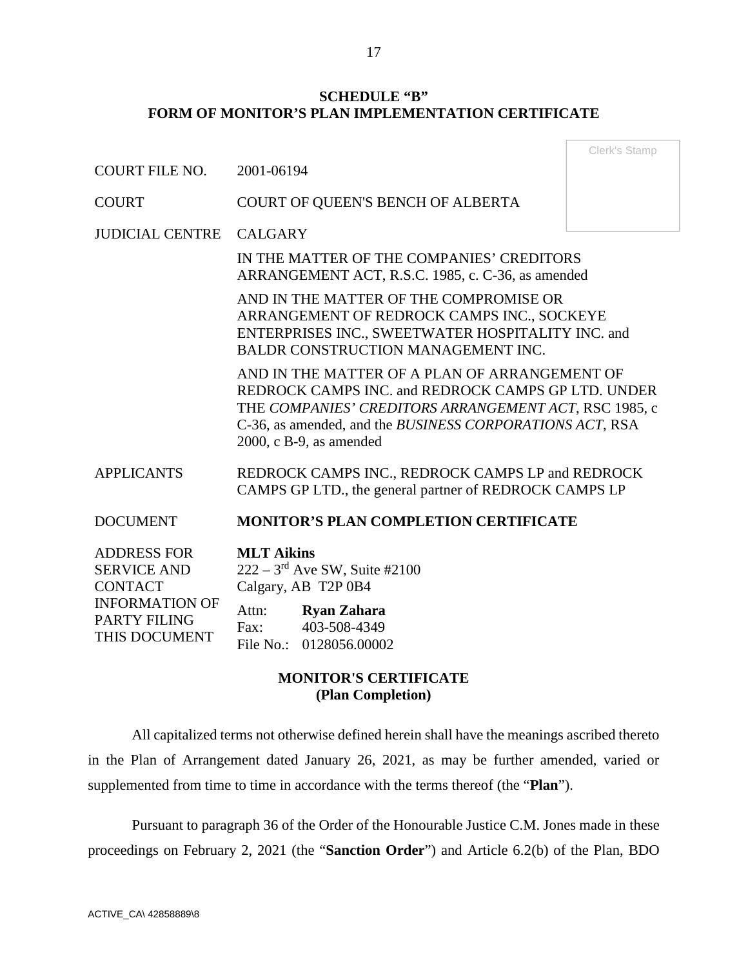# **SCHEDULE "B" FORM OF MONITOR'S PLAN IMPLEMENTATION CERTIFICATE**

|                                                                                                                             |                                                                                                                                                                                                                                                        | Clerk's Stamp |  |
|-----------------------------------------------------------------------------------------------------------------------------|--------------------------------------------------------------------------------------------------------------------------------------------------------------------------------------------------------------------------------------------------------|---------------|--|
| <b>COURT FILE NO.</b>                                                                                                       | 2001-06194                                                                                                                                                                                                                                             |               |  |
| <b>COURT</b>                                                                                                                | COURT OF QUEEN'S BENCH OF ALBERTA                                                                                                                                                                                                                      |               |  |
| <b>JUDICIAL CENTRE</b>                                                                                                      | <b>CALGARY</b>                                                                                                                                                                                                                                         |               |  |
|                                                                                                                             | IN THE MATTER OF THE COMPANIES' CREDITORS<br>ARRANGEMENT ACT, R.S.C. 1985, c. C-36, as amended                                                                                                                                                         |               |  |
|                                                                                                                             | AND IN THE MATTER OF THE COMPROMISE OR<br>ARRANGEMENT OF REDROCK CAMPS INC., SOCKEYE<br>ENTERPRISES INC., SWEETWATER HOSPITALITY INC. and<br>BALDR CONSTRUCTION MANAGEMENT INC.                                                                        |               |  |
|                                                                                                                             | AND IN THE MATTER OF A PLAN OF ARRANGEMENT OF<br>REDROCK CAMPS INC. and REDROCK CAMPS GP LTD. UNDER<br>THE COMPANIES' CREDITORS ARRANGEMENT ACT, RSC 1985, c<br>C-36, as amended, and the BUSINESS CORPORATIONS ACT, RSA<br>$2000$ , c B-9, as amended |               |  |
| <b>APPLICANTS</b>                                                                                                           | REDROCK CAMPS INC., REDROCK CAMPS LP and REDROCK<br>CAMPS GP LTD., the general partner of REDROCK CAMPS LP                                                                                                                                             |               |  |
| <b>DOCUMENT</b>                                                                                                             | <b>MONITOR'S PLAN COMPLETION CERTIFICATE</b>                                                                                                                                                                                                           |               |  |
| <b>ADDRESS FOR</b><br><b>SERVICE AND</b><br><b>CONTACT</b><br><b>INFORMATION OF</b><br><b>PARTY FILING</b><br>THIS DOCUMENT | <b>MLT</b> Aikins<br>$222 - 3^{rd}$ Ave SW, Suite #2100<br>Calgary, AB T2P 0B4<br><b>Ryan Zahara</b><br>Attn:<br>403-508-4349<br>Fax:<br>$F1 N$ $01000550000$                                                                                          |               |  |

# **MONITOR'S CERTIFICATE (Plan Completion)**

File No.: 0128056.00002

All capitalized terms not otherwise defined herein shall have the meanings ascribed thereto in the Plan of Arrangement dated January 26, 2021, as may be further amended, varied or supplemented from time to time in accordance with the terms thereof (the "**Plan**").

Pursuant to paragraph 36 of the Order of the Honourable Justice C.M. Jones made in these proceedings on February 2, 2021 (the "**Sanction Order**") and Article 6.2(b) of the Plan, BDO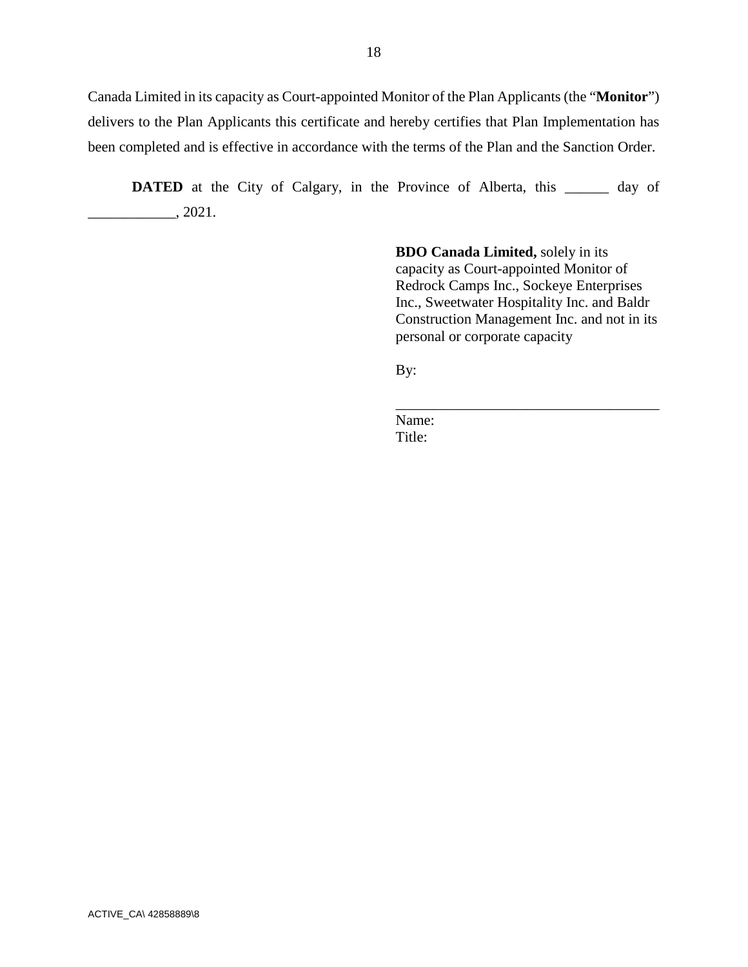Canada Limited in its capacity as Court-appointed Monitor of the Plan Applicants (the "**Monitor**") delivers to the Plan Applicants this certificate and hereby certifies that Plan Implementation has been completed and is effective in accordance with the terms of the Plan and the Sanction Order.

**DATED** at the City of Calgary, in the Province of Alberta, this \_\_\_\_\_\_ day of  $\frac{2021}{ }$ 

> **BDO Canada Limited,** solely in its capacity as Court-appointed Monitor of Redrock Camps Inc., Sockeye Enterprises Inc., Sweetwater Hospitality Inc. and Baldr Construction Management Inc. and not in its personal or corporate capacity

> \_\_\_\_\_\_\_\_\_\_\_\_\_\_\_\_\_\_\_\_\_\_\_\_\_\_\_\_\_\_\_\_\_\_\_\_

By:

Name: Title: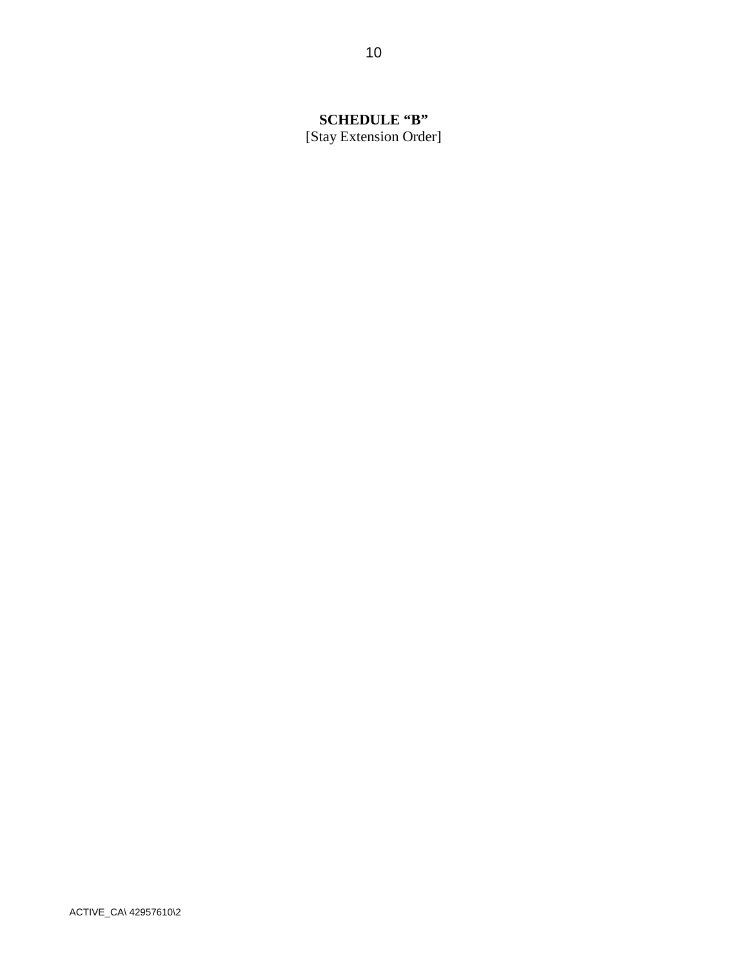# **SCHEDULE "B"**

[Stay Extension Order]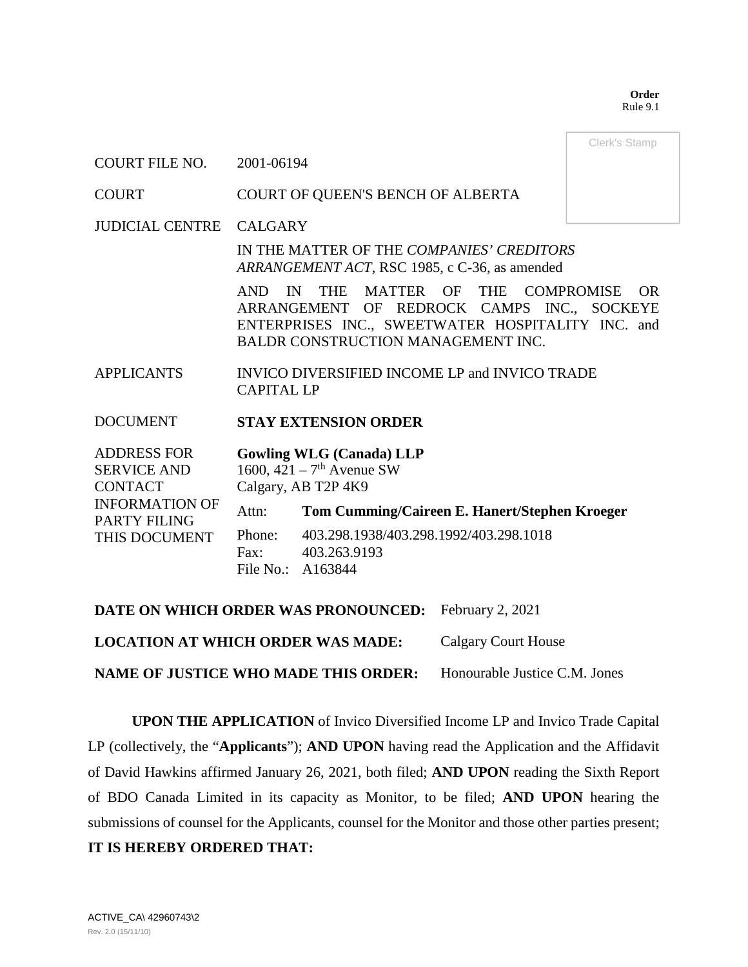**Order**  Rule 9.1

Clerk's Stamp

#### COURT FILE NO. 2001-06194

COURT COURT OF QUEEN'S BENCH OF ALBERTA

JUDICIAL CENTRE CALGARY

IN THE MATTER OF THE *COMPANIES' CREDITORS ARRANGEMENT ACT*, RSC 1985, c C-36, as amended

AND IN THE MATTER OF THE COMPROMISE OR ARRANGEMENT OF REDROCK CAMPS INC., SOCKEYE ENTERPRISES INC., SWEETWATER HOSPITALITY INC. and BALDR CONSTRUCTION MANAGEMENT INC.

APPLICANTS INVICO DIVERSIFIED INCOME LP and INVICO TRADE CAPITAL LP

### DOCUMENT **STAY EXTENSION ORDER**

| <b>ADDRESS FOR</b><br><b>SERVICE AND</b> | <b>Gowling WLG (Canada) LLP</b><br>1600, $421 - 7$ <sup>th</sup> Avenue SW |                                                        |  |
|------------------------------------------|----------------------------------------------------------------------------|--------------------------------------------------------|--|
| <b>CONTACT</b>                           | Calgary, AB T2P 4K9                                                        |                                                        |  |
| <b>INFORMATION OF</b><br>PARTY FILING    | Attn:                                                                      | Tom Cumming/Caireen E. Hanert/Stephen Kroeger          |  |
| THIS DOCUMENT                            | Phone:<br>$\text{Fax}:$<br>File No.: A163844                               | 403.298.1938/403.298.1992/403.298.1018<br>403.263.9193 |  |

**DATE ON WHICH ORDER WAS PRONOUNCED:** February 2, 2021

**LOCATION AT WHICH ORDER WAS MADE:** Calgary Court House

**NAME OF JUSTICE WHO MADE THIS ORDER:** Honourable Justice C.M. Jones

**UPON THE APPLICATION** of Invico Diversified Income LP and Invico Trade Capital LP (collectively, the "**Applicants**"); **AND UPON** having read the Application and the Affidavit of David Hawkins affirmed January 26, 2021, both filed; **AND UPON** reading the Sixth Report of BDO Canada Limited in its capacity as Monitor, to be filed; **AND UPON** hearing the submissions of counsel for the Applicants, counsel for the Monitor and those other parties present; **IT IS HEREBY ORDERED THAT:**